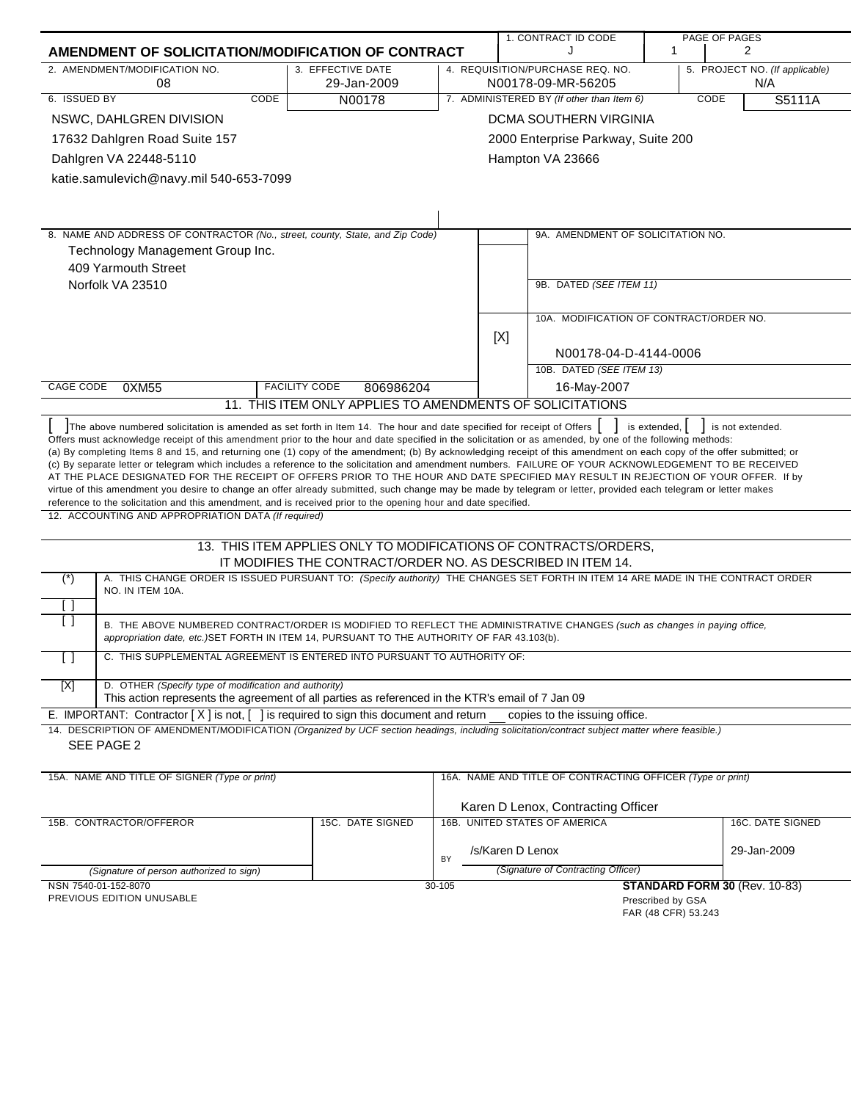| AMENDMENT OF SOLICITATION/MODIFICATION OF CONTRACT<br>2. AMENDMENT/MODIFICATION NO.<br>4. REQUISITION/PURCHASE REQ. NO.<br>3. EFFECTIVE DATE<br>5. PROJECT NO. (If applicable)<br>29-Jan-2009<br>N/A<br>08<br>N00178-09-MR-56205<br>6. ISSUED BY<br><b>CODE</b><br>7. ADMINISTERED BY (If other than Item 6)<br>N00178<br><b>CODE</b><br>S5111A<br>DCMA SOUTHERN VIRGINIA<br>NSWC, DAHLGREN DIVISION<br>17632 Dahlgren Road Suite 157<br>2000 Enterprise Parkway, Suite 200<br>Dahlgren VA 22448-5110<br>Hampton VA 23666<br>katie.samulevich@navy.mil 540-653-7099<br>8. NAME AND ADDRESS OF CONTRACTOR (No., street, county, State, and Zip Code)<br>9A. AMENDMENT OF SOLICITATION NO.<br>Technology Management Group Inc.<br>409 Yarmouth Street<br>Norfolk VA 23510<br>9B. DATED (SEE ITEM 11)<br>10A. MODIFICATION OF CONTRACT/ORDER NO.<br>[X]<br>N00178-04-D-4144-0006<br>10B. DATED (SEE ITEM 13)<br>16-May-2007<br>CAGE CODE<br><b>FACILITY CODE</b><br>0XM55<br>806986204<br>11. THIS ITEM ONLY APPLIES TO AMENDMENTS OF SOLICITATIONS<br>The above numbered solicitation is amended as set forth in Item 14. The hour and date specified for receipt of Offers<br>is extended, $\vert$<br>is not extended.<br>Offers must acknowledge receipt of this amendment prior to the hour and date specified in the solicitation or as amended, by one of the following methods:<br>(a) By completing Items 8 and 15, and returning one (1) copy of the amendment; (b) By acknowledging receipt of this amendment on each copy of the offer submitted; or<br>(c) By separate letter or telegram which includes a reference to the solicitation and amendment numbers. FAILURE OF YOUR ACKNOWLEDGEMENT TO BE RECEIVED<br>AT THE PLACE DESIGNATED FOR THE RECEIPT OF OFFERS PRIOR TO THE HOUR AND DATE SPECIFIED MAY RESULT IN REJECTION OF YOUR OFFER. If by<br>virtue of this amendment you desire to change an offer already submitted, such change may be made by telegram or letter, provided each telegram or letter makes<br>reference to the solicitation and this amendment, and is received prior to the opening hour and date specified.<br>12. ACCOUNTING AND APPROPRIATION DATA (If required)<br>13. THIS ITEM APPLIES ONLY TO MODIFICATIONS OF CONTRACTS/ORDERS,<br>IT MODIFIES THE CONTRACT/ORDER NO. AS DESCRIBED IN ITEM 14.<br>A. THIS CHANGE ORDER IS ISSUED PURSUANT TO: (Specify authority) THE CHANGES SET FORTH IN ITEM 14 ARE MADE IN THE CONTRACT ORDER<br>$(\ast)$<br>NO. IN ITEM 10A.<br>$\left[ \begin{array}{c} \end{array} \right]$<br>[ ]<br>B. THE ABOVE NUMBERED CONTRACT/ORDER IS MODIFIED TO REFLECT THE ADMINISTRATIVE CHANGES (such as changes in paying office,<br>appropriation date, etc.) SET FORTH IN ITEM 14, PURSUANT TO THE AUTHORITY OF FAR 43.103(b).<br>$\overline{1}$<br>C. THIS SUPPLEMENTAL AGREEMENT IS ENTERED INTO PURSUANT TO AUTHORITY OF:<br>D. OTHER (Specify type of modification and authority)<br>[X]<br>This action represents the agreement of all parties as referenced in the KTR's email of 7 Jan 09<br>E. IMPORTANT: Contractor $[X]$ is not, $[ \ ]$ is required to sign this document and return<br>copies to the issuing office.<br>14. DESCRIPTION OF AMENDMENT/MODIFICATION (Organized by UCF section headings, including solicitation/contract subject matter where feasible.)<br>SEE PAGE 2<br>15A. NAME AND TITLE OF SIGNER (Type or print)<br>16A. NAME AND TITLE OF CONTRACTING OFFICER (Type or print)<br>Karen D Lenox, Contracting Officer<br>16B. UNITED STATES OF AMERICA<br>15B. CONTRACTOR/OFFEROR<br>15C. DATE SIGNED<br>16C. DATE SIGNED<br>/s/Karen D Lenox<br>29-Jan-2009<br>BY<br>(Signature of Contracting Officer)<br>(Signature of person authorized to sign)<br><b>STANDARD FORM 30 (Rev. 10-83)</b><br>NSN 7540-01-152-8070<br>30-105<br>PREVIOUS EDITION UNUSABLE<br>Prescribed by GSA |  |  | 1. CONTRACT ID CODE |   | PAGE OF PAGES |   |
|----------------------------------------------------------------------------------------------------------------------------------------------------------------------------------------------------------------------------------------------------------------------------------------------------------------------------------------------------------------------------------------------------------------------------------------------------------------------------------------------------------------------------------------------------------------------------------------------------------------------------------------------------------------------------------------------------------------------------------------------------------------------------------------------------------------------------------------------------------------------------------------------------------------------------------------------------------------------------------------------------------------------------------------------------------------------------------------------------------------------------------------------------------------------------------------------------------------------------------------------------------------------------------------------------------------------------------------------------------------------------------------------------------------------------------------------------------------------------------------------------------------------------------------------------------------------------------------------------------------------------------------------------------------------------------------------------------------------------------------------------------------------------------------------------------------------------------------------------------------------------------------------------------------------------------------------------------------------------------------------------------------------------------------------------------------------------------------------------------------------------------------------------------------------------------------------------------------------------------------------------------------------------------------------------------------------------------------------------------------------------------------------------------------------------------------------------------------------------------------------------------------------------------------------------------------------------------------------------------------------------------------------------------------------------------------------------------------------------------------------------------------------------------------------------------------------------------------------------------------------------------------------------------------------------------------------------------------------------------------------------------------------------------------------------------------------------------------------------------------------------------------------------------------------------------------------------------------------------------------------------------------------------------------------------------------------------------------------------------------------------------------------------------------------------------------------------------------------------------------------------------------------------------------------------------------------------------------------------------------------------------------------------------------------------------------------------------------------------------------------------------------------------------------------------------------------------------------------------------------------------------------|--|--|---------------------|---|---------------|---|
|                                                                                                                                                                                                                                                                                                                                                                                                                                                                                                                                                                                                                                                                                                                                                                                                                                                                                                                                                                                                                                                                                                                                                                                                                                                                                                                                                                                                                                                                                                                                                                                                                                                                                                                                                                                                                                                                                                                                                                                                                                                                                                                                                                                                                                                                                                                                                                                                                                                                                                                                                                                                                                                                                                                                                                                                                                                                                                                                                                                                                                                                                                                                                                                                                                                                                                                                                                                                                                                                                                                                                                                                                                                                                                                                                                                                                                                                                        |  |  |                     | 1 |               | 2 |
|                                                                                                                                                                                                                                                                                                                                                                                                                                                                                                                                                                                                                                                                                                                                                                                                                                                                                                                                                                                                                                                                                                                                                                                                                                                                                                                                                                                                                                                                                                                                                                                                                                                                                                                                                                                                                                                                                                                                                                                                                                                                                                                                                                                                                                                                                                                                                                                                                                                                                                                                                                                                                                                                                                                                                                                                                                                                                                                                                                                                                                                                                                                                                                                                                                                                                                                                                                                                                                                                                                                                                                                                                                                                                                                                                                                                                                                                                        |  |  |                     |   |               |   |
|                                                                                                                                                                                                                                                                                                                                                                                                                                                                                                                                                                                                                                                                                                                                                                                                                                                                                                                                                                                                                                                                                                                                                                                                                                                                                                                                                                                                                                                                                                                                                                                                                                                                                                                                                                                                                                                                                                                                                                                                                                                                                                                                                                                                                                                                                                                                                                                                                                                                                                                                                                                                                                                                                                                                                                                                                                                                                                                                                                                                                                                                                                                                                                                                                                                                                                                                                                                                                                                                                                                                                                                                                                                                                                                                                                                                                                                                                        |  |  |                     |   |               |   |
|                                                                                                                                                                                                                                                                                                                                                                                                                                                                                                                                                                                                                                                                                                                                                                                                                                                                                                                                                                                                                                                                                                                                                                                                                                                                                                                                                                                                                                                                                                                                                                                                                                                                                                                                                                                                                                                                                                                                                                                                                                                                                                                                                                                                                                                                                                                                                                                                                                                                                                                                                                                                                                                                                                                                                                                                                                                                                                                                                                                                                                                                                                                                                                                                                                                                                                                                                                                                                                                                                                                                                                                                                                                                                                                                                                                                                                                                                        |  |  |                     |   |               |   |
|                                                                                                                                                                                                                                                                                                                                                                                                                                                                                                                                                                                                                                                                                                                                                                                                                                                                                                                                                                                                                                                                                                                                                                                                                                                                                                                                                                                                                                                                                                                                                                                                                                                                                                                                                                                                                                                                                                                                                                                                                                                                                                                                                                                                                                                                                                                                                                                                                                                                                                                                                                                                                                                                                                                                                                                                                                                                                                                                                                                                                                                                                                                                                                                                                                                                                                                                                                                                                                                                                                                                                                                                                                                                                                                                                                                                                                                                                        |  |  |                     |   |               |   |
|                                                                                                                                                                                                                                                                                                                                                                                                                                                                                                                                                                                                                                                                                                                                                                                                                                                                                                                                                                                                                                                                                                                                                                                                                                                                                                                                                                                                                                                                                                                                                                                                                                                                                                                                                                                                                                                                                                                                                                                                                                                                                                                                                                                                                                                                                                                                                                                                                                                                                                                                                                                                                                                                                                                                                                                                                                                                                                                                                                                                                                                                                                                                                                                                                                                                                                                                                                                                                                                                                                                                                                                                                                                                                                                                                                                                                                                                                        |  |  |                     |   |               |   |
|                                                                                                                                                                                                                                                                                                                                                                                                                                                                                                                                                                                                                                                                                                                                                                                                                                                                                                                                                                                                                                                                                                                                                                                                                                                                                                                                                                                                                                                                                                                                                                                                                                                                                                                                                                                                                                                                                                                                                                                                                                                                                                                                                                                                                                                                                                                                                                                                                                                                                                                                                                                                                                                                                                                                                                                                                                                                                                                                                                                                                                                                                                                                                                                                                                                                                                                                                                                                                                                                                                                                                                                                                                                                                                                                                                                                                                                                                        |  |  |                     |   |               |   |
|                                                                                                                                                                                                                                                                                                                                                                                                                                                                                                                                                                                                                                                                                                                                                                                                                                                                                                                                                                                                                                                                                                                                                                                                                                                                                                                                                                                                                                                                                                                                                                                                                                                                                                                                                                                                                                                                                                                                                                                                                                                                                                                                                                                                                                                                                                                                                                                                                                                                                                                                                                                                                                                                                                                                                                                                                                                                                                                                                                                                                                                                                                                                                                                                                                                                                                                                                                                                                                                                                                                                                                                                                                                                                                                                                                                                                                                                                        |  |  |                     |   |               |   |
|                                                                                                                                                                                                                                                                                                                                                                                                                                                                                                                                                                                                                                                                                                                                                                                                                                                                                                                                                                                                                                                                                                                                                                                                                                                                                                                                                                                                                                                                                                                                                                                                                                                                                                                                                                                                                                                                                                                                                                                                                                                                                                                                                                                                                                                                                                                                                                                                                                                                                                                                                                                                                                                                                                                                                                                                                                                                                                                                                                                                                                                                                                                                                                                                                                                                                                                                                                                                                                                                                                                                                                                                                                                                                                                                                                                                                                                                                        |  |  |                     |   |               |   |
|                                                                                                                                                                                                                                                                                                                                                                                                                                                                                                                                                                                                                                                                                                                                                                                                                                                                                                                                                                                                                                                                                                                                                                                                                                                                                                                                                                                                                                                                                                                                                                                                                                                                                                                                                                                                                                                                                                                                                                                                                                                                                                                                                                                                                                                                                                                                                                                                                                                                                                                                                                                                                                                                                                                                                                                                                                                                                                                                                                                                                                                                                                                                                                                                                                                                                                                                                                                                                                                                                                                                                                                                                                                                                                                                                                                                                                                                                        |  |  |                     |   |               |   |
|                                                                                                                                                                                                                                                                                                                                                                                                                                                                                                                                                                                                                                                                                                                                                                                                                                                                                                                                                                                                                                                                                                                                                                                                                                                                                                                                                                                                                                                                                                                                                                                                                                                                                                                                                                                                                                                                                                                                                                                                                                                                                                                                                                                                                                                                                                                                                                                                                                                                                                                                                                                                                                                                                                                                                                                                                                                                                                                                                                                                                                                                                                                                                                                                                                                                                                                                                                                                                                                                                                                                                                                                                                                                                                                                                                                                                                                                                        |  |  |                     |   |               |   |
|                                                                                                                                                                                                                                                                                                                                                                                                                                                                                                                                                                                                                                                                                                                                                                                                                                                                                                                                                                                                                                                                                                                                                                                                                                                                                                                                                                                                                                                                                                                                                                                                                                                                                                                                                                                                                                                                                                                                                                                                                                                                                                                                                                                                                                                                                                                                                                                                                                                                                                                                                                                                                                                                                                                                                                                                                                                                                                                                                                                                                                                                                                                                                                                                                                                                                                                                                                                                                                                                                                                                                                                                                                                                                                                                                                                                                                                                                        |  |  |                     |   |               |   |
|                                                                                                                                                                                                                                                                                                                                                                                                                                                                                                                                                                                                                                                                                                                                                                                                                                                                                                                                                                                                                                                                                                                                                                                                                                                                                                                                                                                                                                                                                                                                                                                                                                                                                                                                                                                                                                                                                                                                                                                                                                                                                                                                                                                                                                                                                                                                                                                                                                                                                                                                                                                                                                                                                                                                                                                                                                                                                                                                                                                                                                                                                                                                                                                                                                                                                                                                                                                                                                                                                                                                                                                                                                                                                                                                                                                                                                                                                        |  |  |                     |   |               |   |
|                                                                                                                                                                                                                                                                                                                                                                                                                                                                                                                                                                                                                                                                                                                                                                                                                                                                                                                                                                                                                                                                                                                                                                                                                                                                                                                                                                                                                                                                                                                                                                                                                                                                                                                                                                                                                                                                                                                                                                                                                                                                                                                                                                                                                                                                                                                                                                                                                                                                                                                                                                                                                                                                                                                                                                                                                                                                                                                                                                                                                                                                                                                                                                                                                                                                                                                                                                                                                                                                                                                                                                                                                                                                                                                                                                                                                                                                                        |  |  |                     |   |               |   |
|                                                                                                                                                                                                                                                                                                                                                                                                                                                                                                                                                                                                                                                                                                                                                                                                                                                                                                                                                                                                                                                                                                                                                                                                                                                                                                                                                                                                                                                                                                                                                                                                                                                                                                                                                                                                                                                                                                                                                                                                                                                                                                                                                                                                                                                                                                                                                                                                                                                                                                                                                                                                                                                                                                                                                                                                                                                                                                                                                                                                                                                                                                                                                                                                                                                                                                                                                                                                                                                                                                                                                                                                                                                                                                                                                                                                                                                                                        |  |  |                     |   |               |   |
|                                                                                                                                                                                                                                                                                                                                                                                                                                                                                                                                                                                                                                                                                                                                                                                                                                                                                                                                                                                                                                                                                                                                                                                                                                                                                                                                                                                                                                                                                                                                                                                                                                                                                                                                                                                                                                                                                                                                                                                                                                                                                                                                                                                                                                                                                                                                                                                                                                                                                                                                                                                                                                                                                                                                                                                                                                                                                                                                                                                                                                                                                                                                                                                                                                                                                                                                                                                                                                                                                                                                                                                                                                                                                                                                                                                                                                                                                        |  |  |                     |   |               |   |
|                                                                                                                                                                                                                                                                                                                                                                                                                                                                                                                                                                                                                                                                                                                                                                                                                                                                                                                                                                                                                                                                                                                                                                                                                                                                                                                                                                                                                                                                                                                                                                                                                                                                                                                                                                                                                                                                                                                                                                                                                                                                                                                                                                                                                                                                                                                                                                                                                                                                                                                                                                                                                                                                                                                                                                                                                                                                                                                                                                                                                                                                                                                                                                                                                                                                                                                                                                                                                                                                                                                                                                                                                                                                                                                                                                                                                                                                                        |  |  |                     |   |               |   |
|                                                                                                                                                                                                                                                                                                                                                                                                                                                                                                                                                                                                                                                                                                                                                                                                                                                                                                                                                                                                                                                                                                                                                                                                                                                                                                                                                                                                                                                                                                                                                                                                                                                                                                                                                                                                                                                                                                                                                                                                                                                                                                                                                                                                                                                                                                                                                                                                                                                                                                                                                                                                                                                                                                                                                                                                                                                                                                                                                                                                                                                                                                                                                                                                                                                                                                                                                                                                                                                                                                                                                                                                                                                                                                                                                                                                                                                                                        |  |  |                     |   |               |   |
|                                                                                                                                                                                                                                                                                                                                                                                                                                                                                                                                                                                                                                                                                                                                                                                                                                                                                                                                                                                                                                                                                                                                                                                                                                                                                                                                                                                                                                                                                                                                                                                                                                                                                                                                                                                                                                                                                                                                                                                                                                                                                                                                                                                                                                                                                                                                                                                                                                                                                                                                                                                                                                                                                                                                                                                                                                                                                                                                                                                                                                                                                                                                                                                                                                                                                                                                                                                                                                                                                                                                                                                                                                                                                                                                                                                                                                                                                        |  |  |                     |   |               |   |
|                                                                                                                                                                                                                                                                                                                                                                                                                                                                                                                                                                                                                                                                                                                                                                                                                                                                                                                                                                                                                                                                                                                                                                                                                                                                                                                                                                                                                                                                                                                                                                                                                                                                                                                                                                                                                                                                                                                                                                                                                                                                                                                                                                                                                                                                                                                                                                                                                                                                                                                                                                                                                                                                                                                                                                                                                                                                                                                                                                                                                                                                                                                                                                                                                                                                                                                                                                                                                                                                                                                                                                                                                                                                                                                                                                                                                                                                                        |  |  |                     |   |               |   |
|                                                                                                                                                                                                                                                                                                                                                                                                                                                                                                                                                                                                                                                                                                                                                                                                                                                                                                                                                                                                                                                                                                                                                                                                                                                                                                                                                                                                                                                                                                                                                                                                                                                                                                                                                                                                                                                                                                                                                                                                                                                                                                                                                                                                                                                                                                                                                                                                                                                                                                                                                                                                                                                                                                                                                                                                                                                                                                                                                                                                                                                                                                                                                                                                                                                                                                                                                                                                                                                                                                                                                                                                                                                                                                                                                                                                                                                                                        |  |  |                     |   |               |   |
|                                                                                                                                                                                                                                                                                                                                                                                                                                                                                                                                                                                                                                                                                                                                                                                                                                                                                                                                                                                                                                                                                                                                                                                                                                                                                                                                                                                                                                                                                                                                                                                                                                                                                                                                                                                                                                                                                                                                                                                                                                                                                                                                                                                                                                                                                                                                                                                                                                                                                                                                                                                                                                                                                                                                                                                                                                                                                                                                                                                                                                                                                                                                                                                                                                                                                                                                                                                                                                                                                                                                                                                                                                                                                                                                                                                                                                                                                        |  |  |                     |   |               |   |
|                                                                                                                                                                                                                                                                                                                                                                                                                                                                                                                                                                                                                                                                                                                                                                                                                                                                                                                                                                                                                                                                                                                                                                                                                                                                                                                                                                                                                                                                                                                                                                                                                                                                                                                                                                                                                                                                                                                                                                                                                                                                                                                                                                                                                                                                                                                                                                                                                                                                                                                                                                                                                                                                                                                                                                                                                                                                                                                                                                                                                                                                                                                                                                                                                                                                                                                                                                                                                                                                                                                                                                                                                                                                                                                                                                                                                                                                                        |  |  |                     |   |               |   |
|                                                                                                                                                                                                                                                                                                                                                                                                                                                                                                                                                                                                                                                                                                                                                                                                                                                                                                                                                                                                                                                                                                                                                                                                                                                                                                                                                                                                                                                                                                                                                                                                                                                                                                                                                                                                                                                                                                                                                                                                                                                                                                                                                                                                                                                                                                                                                                                                                                                                                                                                                                                                                                                                                                                                                                                                                                                                                                                                                                                                                                                                                                                                                                                                                                                                                                                                                                                                                                                                                                                                                                                                                                                                                                                                                                                                                                                                                        |  |  |                     |   |               |   |
|                                                                                                                                                                                                                                                                                                                                                                                                                                                                                                                                                                                                                                                                                                                                                                                                                                                                                                                                                                                                                                                                                                                                                                                                                                                                                                                                                                                                                                                                                                                                                                                                                                                                                                                                                                                                                                                                                                                                                                                                                                                                                                                                                                                                                                                                                                                                                                                                                                                                                                                                                                                                                                                                                                                                                                                                                                                                                                                                                                                                                                                                                                                                                                                                                                                                                                                                                                                                                                                                                                                                                                                                                                                                                                                                                                                                                                                                                        |  |  |                     |   |               |   |
|                                                                                                                                                                                                                                                                                                                                                                                                                                                                                                                                                                                                                                                                                                                                                                                                                                                                                                                                                                                                                                                                                                                                                                                                                                                                                                                                                                                                                                                                                                                                                                                                                                                                                                                                                                                                                                                                                                                                                                                                                                                                                                                                                                                                                                                                                                                                                                                                                                                                                                                                                                                                                                                                                                                                                                                                                                                                                                                                                                                                                                                                                                                                                                                                                                                                                                                                                                                                                                                                                                                                                                                                                                                                                                                                                                                                                                                                                        |  |  |                     |   |               |   |
|                                                                                                                                                                                                                                                                                                                                                                                                                                                                                                                                                                                                                                                                                                                                                                                                                                                                                                                                                                                                                                                                                                                                                                                                                                                                                                                                                                                                                                                                                                                                                                                                                                                                                                                                                                                                                                                                                                                                                                                                                                                                                                                                                                                                                                                                                                                                                                                                                                                                                                                                                                                                                                                                                                                                                                                                                                                                                                                                                                                                                                                                                                                                                                                                                                                                                                                                                                                                                                                                                                                                                                                                                                                                                                                                                                                                                                                                                        |  |  |                     |   |               |   |
|                                                                                                                                                                                                                                                                                                                                                                                                                                                                                                                                                                                                                                                                                                                                                                                                                                                                                                                                                                                                                                                                                                                                                                                                                                                                                                                                                                                                                                                                                                                                                                                                                                                                                                                                                                                                                                                                                                                                                                                                                                                                                                                                                                                                                                                                                                                                                                                                                                                                                                                                                                                                                                                                                                                                                                                                                                                                                                                                                                                                                                                                                                                                                                                                                                                                                                                                                                                                                                                                                                                                                                                                                                                                                                                                                                                                                                                                                        |  |  |                     |   |               |   |
|                                                                                                                                                                                                                                                                                                                                                                                                                                                                                                                                                                                                                                                                                                                                                                                                                                                                                                                                                                                                                                                                                                                                                                                                                                                                                                                                                                                                                                                                                                                                                                                                                                                                                                                                                                                                                                                                                                                                                                                                                                                                                                                                                                                                                                                                                                                                                                                                                                                                                                                                                                                                                                                                                                                                                                                                                                                                                                                                                                                                                                                                                                                                                                                                                                                                                                                                                                                                                                                                                                                                                                                                                                                                                                                                                                                                                                                                                        |  |  |                     |   |               |   |
|                                                                                                                                                                                                                                                                                                                                                                                                                                                                                                                                                                                                                                                                                                                                                                                                                                                                                                                                                                                                                                                                                                                                                                                                                                                                                                                                                                                                                                                                                                                                                                                                                                                                                                                                                                                                                                                                                                                                                                                                                                                                                                                                                                                                                                                                                                                                                                                                                                                                                                                                                                                                                                                                                                                                                                                                                                                                                                                                                                                                                                                                                                                                                                                                                                                                                                                                                                                                                                                                                                                                                                                                                                                                                                                                                                                                                                                                                        |  |  |                     |   |               |   |
|                                                                                                                                                                                                                                                                                                                                                                                                                                                                                                                                                                                                                                                                                                                                                                                                                                                                                                                                                                                                                                                                                                                                                                                                                                                                                                                                                                                                                                                                                                                                                                                                                                                                                                                                                                                                                                                                                                                                                                                                                                                                                                                                                                                                                                                                                                                                                                                                                                                                                                                                                                                                                                                                                                                                                                                                                                                                                                                                                                                                                                                                                                                                                                                                                                                                                                                                                                                                                                                                                                                                                                                                                                                                                                                                                                                                                                                                                        |  |  |                     |   |               |   |
|                                                                                                                                                                                                                                                                                                                                                                                                                                                                                                                                                                                                                                                                                                                                                                                                                                                                                                                                                                                                                                                                                                                                                                                                                                                                                                                                                                                                                                                                                                                                                                                                                                                                                                                                                                                                                                                                                                                                                                                                                                                                                                                                                                                                                                                                                                                                                                                                                                                                                                                                                                                                                                                                                                                                                                                                                                                                                                                                                                                                                                                                                                                                                                                                                                                                                                                                                                                                                                                                                                                                                                                                                                                                                                                                                                                                                                                                                        |  |  |                     |   |               |   |
|                                                                                                                                                                                                                                                                                                                                                                                                                                                                                                                                                                                                                                                                                                                                                                                                                                                                                                                                                                                                                                                                                                                                                                                                                                                                                                                                                                                                                                                                                                                                                                                                                                                                                                                                                                                                                                                                                                                                                                                                                                                                                                                                                                                                                                                                                                                                                                                                                                                                                                                                                                                                                                                                                                                                                                                                                                                                                                                                                                                                                                                                                                                                                                                                                                                                                                                                                                                                                                                                                                                                                                                                                                                                                                                                                                                                                                                                                        |  |  |                     |   |               |   |
|                                                                                                                                                                                                                                                                                                                                                                                                                                                                                                                                                                                                                                                                                                                                                                                                                                                                                                                                                                                                                                                                                                                                                                                                                                                                                                                                                                                                                                                                                                                                                                                                                                                                                                                                                                                                                                                                                                                                                                                                                                                                                                                                                                                                                                                                                                                                                                                                                                                                                                                                                                                                                                                                                                                                                                                                                                                                                                                                                                                                                                                                                                                                                                                                                                                                                                                                                                                                                                                                                                                                                                                                                                                                                                                                                                                                                                                                                        |  |  |                     |   |               |   |
|                                                                                                                                                                                                                                                                                                                                                                                                                                                                                                                                                                                                                                                                                                                                                                                                                                                                                                                                                                                                                                                                                                                                                                                                                                                                                                                                                                                                                                                                                                                                                                                                                                                                                                                                                                                                                                                                                                                                                                                                                                                                                                                                                                                                                                                                                                                                                                                                                                                                                                                                                                                                                                                                                                                                                                                                                                                                                                                                                                                                                                                                                                                                                                                                                                                                                                                                                                                                                                                                                                                                                                                                                                                                                                                                                                                                                                                                                        |  |  |                     |   |               |   |
|                                                                                                                                                                                                                                                                                                                                                                                                                                                                                                                                                                                                                                                                                                                                                                                                                                                                                                                                                                                                                                                                                                                                                                                                                                                                                                                                                                                                                                                                                                                                                                                                                                                                                                                                                                                                                                                                                                                                                                                                                                                                                                                                                                                                                                                                                                                                                                                                                                                                                                                                                                                                                                                                                                                                                                                                                                                                                                                                                                                                                                                                                                                                                                                                                                                                                                                                                                                                                                                                                                                                                                                                                                                                                                                                                                                                                                                                                        |  |  |                     |   |               |   |

FAR (48 CFR) 53.243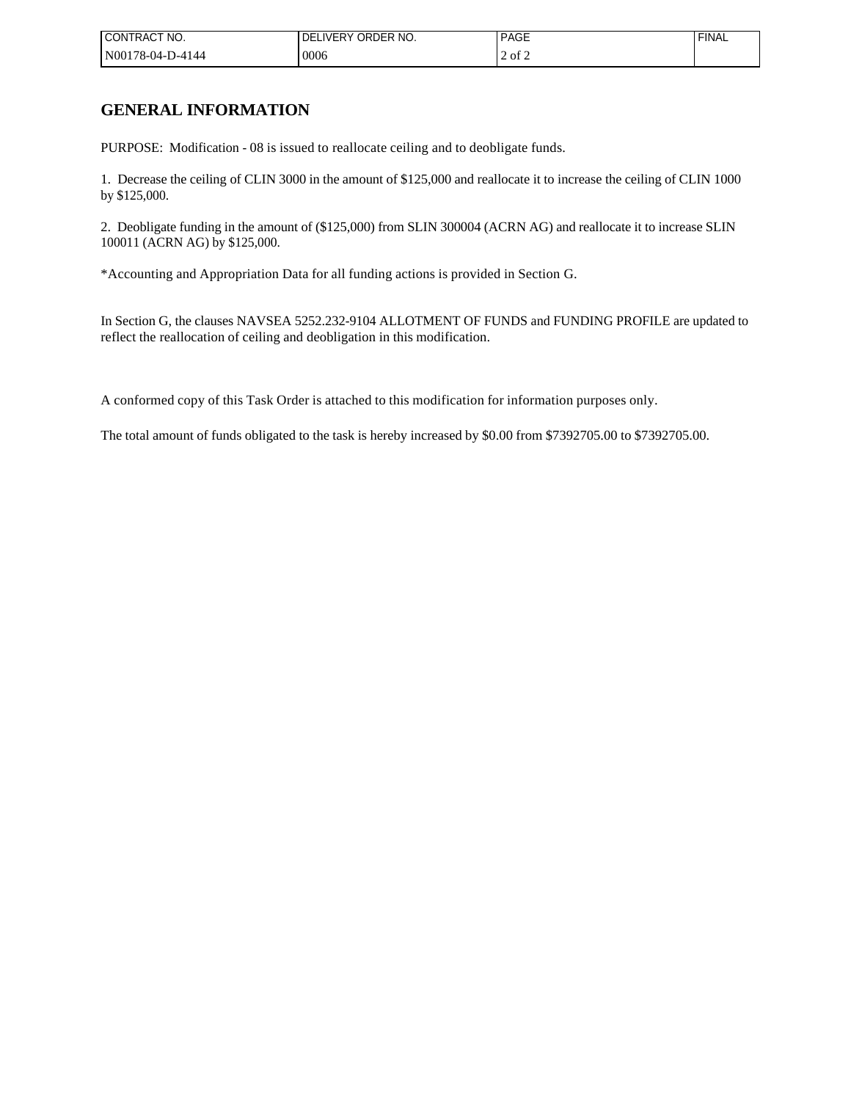| ' CONTRACT NO.   | I DELIVERY ORDER NO. | <b>PAGE</b> | <b>FINAL</b> |
|------------------|----------------------|-------------|--------------|
| N00178-04-D-4144 | 10006                | ot 2        |              |

# **GENERAL INFORMATION**

PURPOSE: Modification - 08 is issued to reallocate ceiling and to deobligate funds.

1. Decrease the ceiling of CLIN 3000 in the amount of \$125,000 and reallocate it to increase the ceiling of CLIN 1000 by \$125,000.

2. Deobligate funding in the amount of (\$125,000) from SLIN 300004 (ACRN AG) and reallocate it to increase SLIN 100011 (ACRN AG) by \$125,000.

\*Accounting and Appropriation Data for all funding actions is provided in Section G.

In Section G, the clauses NAVSEA 5252.232-9104 ALLOTMENT OF FUNDS and FUNDING PROFILE are updated to reflect the reallocation of ceiling and deobligation in this modification.

A conformed copy of this Task Order is attached to this modification for information purposes only.

The total amount of funds obligated to the task is hereby increased by \$0.00 from \$7392705.00 to \$7392705.00.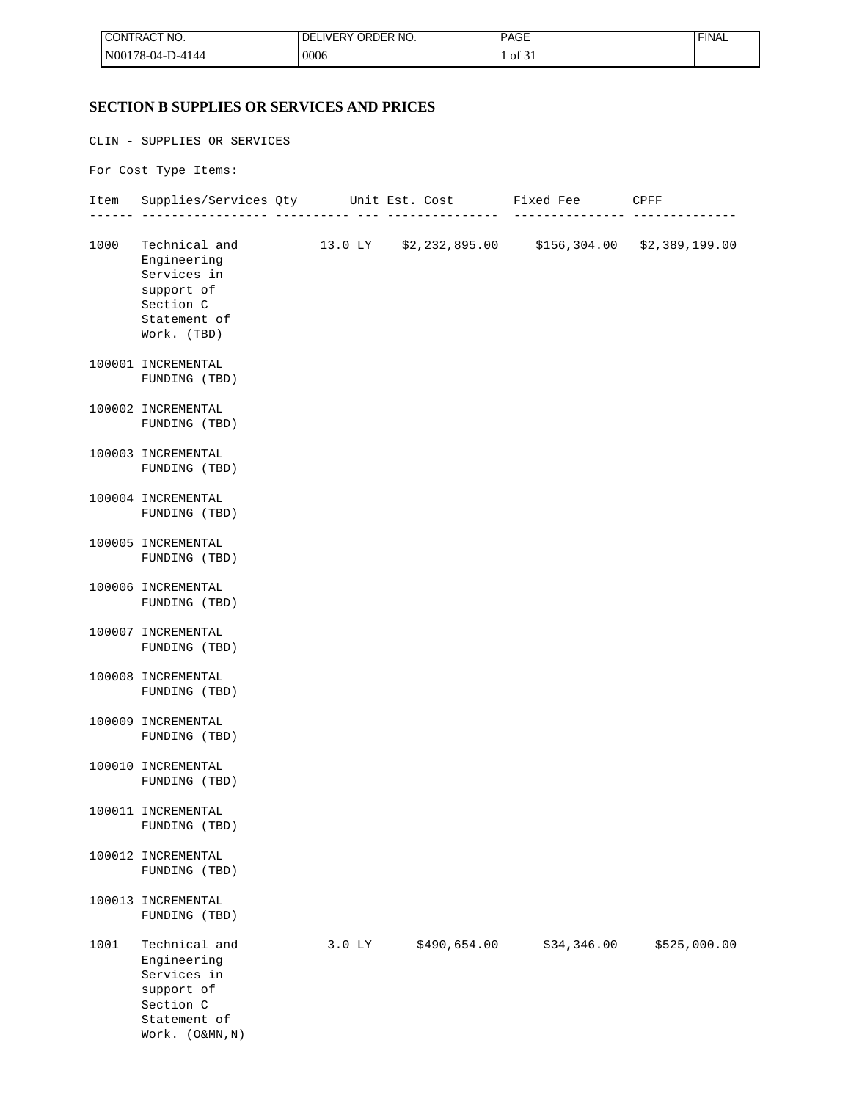| <b>ICONTRACT NO.</b> | I DELIVERY ORDER NO. | <b>PAGE</b>   | ' FINAL |
|----------------------|----------------------|---------------|---------|
| $N00178-04-D-4144$   | 0006                 | $\cdot$ of 3. |         |

# **SECTION B SUPPLIES OR SERVICES AND PRICES**

Work. (O&MN,N)

CLIN - SUPPLIES OR SERVICES For Cost Type Items: Item Supplies/Services Qty Unit Est. Cost Fixed Fee CPFF ------ ----------------- ---------- --- --------------- --------------- -------------- 1000 Technical and 13.0 LY \$2,232,895.00 \$156,304.00 \$2,389,199.00 Engineering Services in support of Section C Statement of Work. (TBD) 100001 INCREMENTAL FUNDING (TBD) 100002 INCREMENTAL FUNDING (TBD) 100003 INCREMENTAL FUNDING (TBD) 100004 INCREMENTAL FUNDING (TBD) 100005 INCREMENTAL FUNDING (TBD) 100006 INCREMENTAL FUNDING (TBD) 100007 INCREMENTAL FUNDING (TBD) 100008 INCREMENTAL FUNDING (TBD) 100009 INCREMENTAL FUNDING (TBD) 100010 INCREMENTAL FUNDING (TBD) 100011 INCREMENTAL FUNDING (TBD) 100012 INCREMENTAL FUNDING (TBD) 100013 INCREMENTAL FUNDING (TBD) 1001 Technical and 3.0 LY \$490,654.00 \$34,346.00 \$525,000.00 Engineering Services in support of Section C Statement of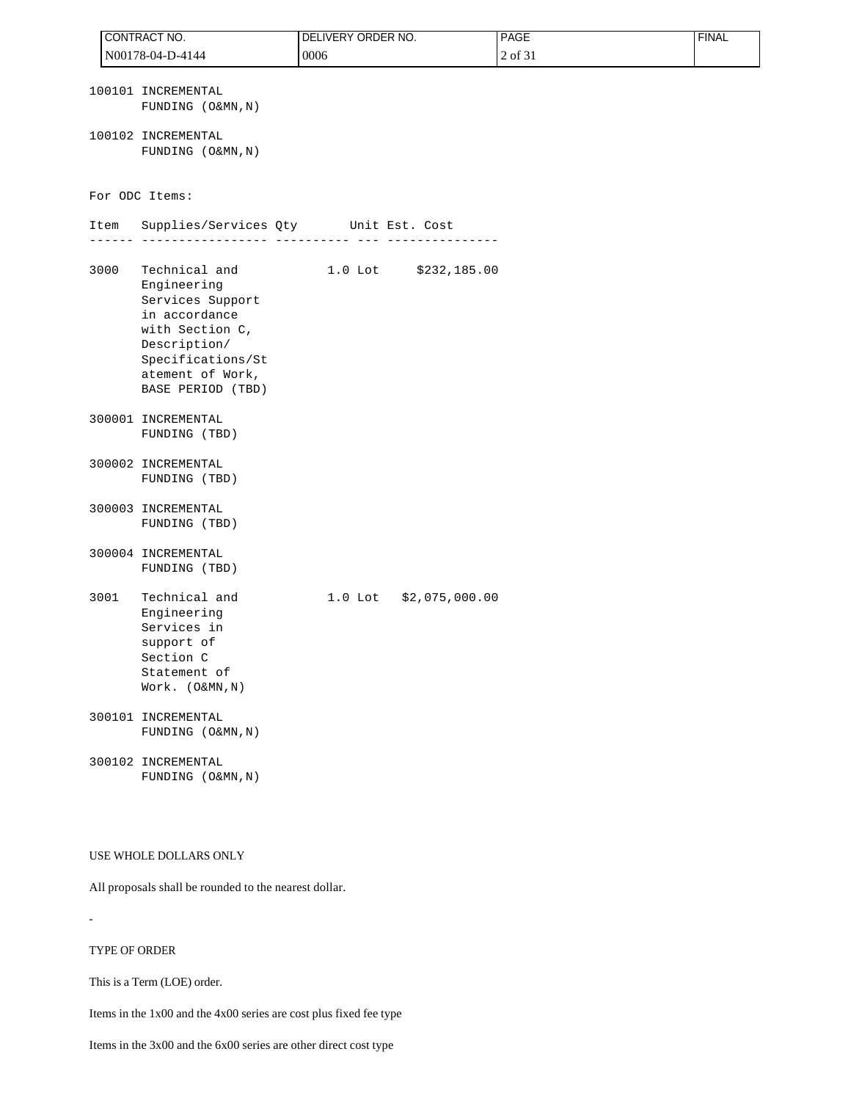|      | CONTRACT NO.                                                                                                                                                       | DELIVERY ORDER NO. |                        | PAGE    | <b>FINAL</b> |
|------|--------------------------------------------------------------------------------------------------------------------------------------------------------------------|--------------------|------------------------|---------|--------------|
|      | N00178-04-D-4144                                                                                                                                                   | 0006               |                        | 2 of 31 |              |
|      | 100101 INCREMENTAL<br>FUNDING (O&MN, N)                                                                                                                            |                    |                        |         |              |
|      | 100102 INCREMENTAL<br>FUNDING (O&MN, N)                                                                                                                            |                    |                        |         |              |
|      | For ODC Items:                                                                                                                                                     |                    |                        |         |              |
| Item | Supplies/Services Qty Unit Est. Cost                                                                                                                               |                    |                        |         |              |
| 3000 | Technical and<br>Engineering<br>Services Support<br>in accordance<br>with Section C,<br>Description/<br>Specifications/St<br>atement of Work,<br>BASE PERIOD (TBD) |                    | 1.0 Lot \$232,185.00   |         |              |
|      | 300001 INCREMENTAL<br>FUNDING (TBD)                                                                                                                                |                    |                        |         |              |
|      | 300002 INCREMENTAL<br>FUNDING (TBD)                                                                                                                                |                    |                        |         |              |
|      | 300003 INCREMENTAL<br>FUNDING (TBD)                                                                                                                                |                    |                        |         |              |
|      | 300004 INCREMENTAL<br>FUNDING (TBD)                                                                                                                                |                    |                        |         |              |
| 3001 | Technical and<br>Engineering<br>Services in<br>support of<br>Section C<br>Statement of<br>Work. (O&MN, N)                                                          |                    | 1.0 Lot \$2,075,000.00 |         |              |
|      | 300101 INCREMENTAL<br>FUNDING (O&MN, N)                                                                                                                            |                    |                        |         |              |
|      | 300102 INCREMENTAL<br>FUNDING (O&MN, N)                                                                                                                            |                    |                        |         |              |

#### USE WHOLE DOLLARS ONLY

All proposals shall be rounded to the nearest dollar.

#### TYPE OF ORDER

-

This is a Term (LOE) order.

Items in the 1x00 and the 4x00 series are cost plus fixed fee type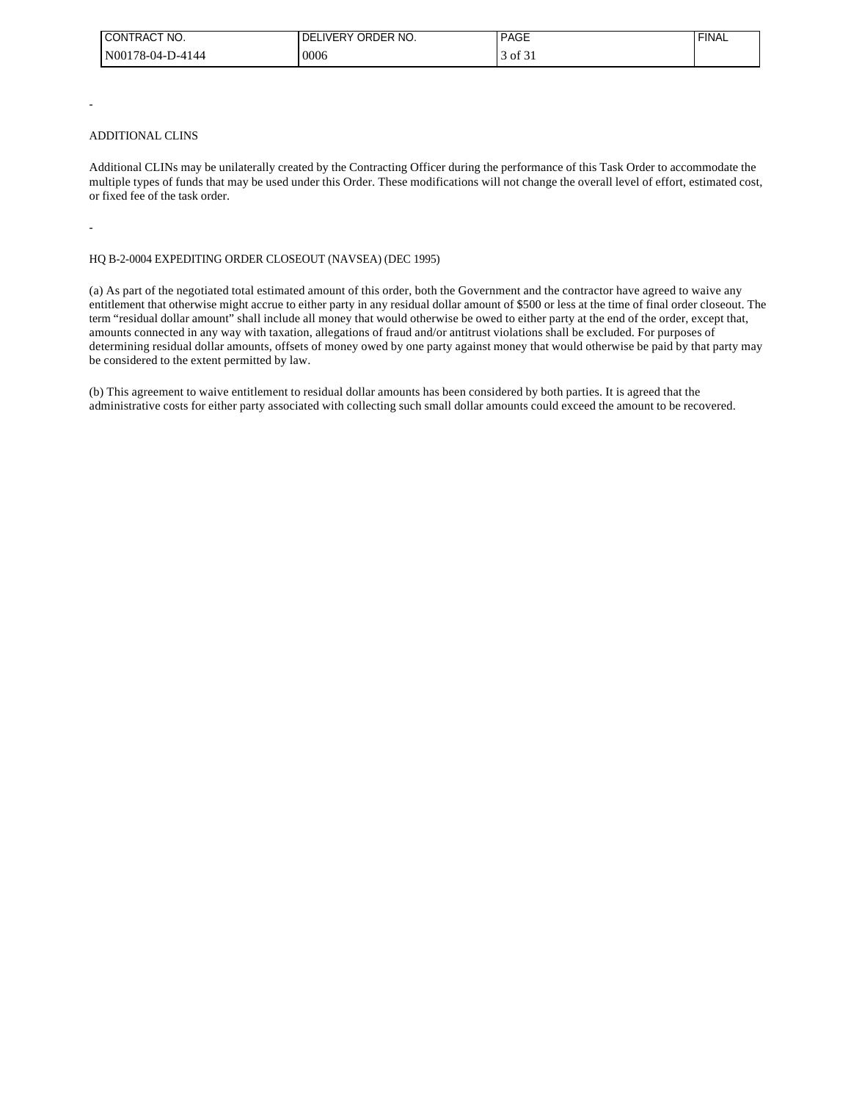| I CONTRACT NO.    | LIVERY ORDER NO.<br>ı DEL | <b>PAGE</b>                 | <b>FINAL</b> |
|-------------------|---------------------------|-----------------------------|--------------|
| IN00178-04-D-4144 | 0006                      | $\rightarrow$ 01 $\sigma$ . |              |

#### ADDITIONAL CLINS

-

-

Additional CLINs may be unilaterally created by the Contracting Officer during the performance of this Task Order to accommodate the multiple types of funds that may be used under this Order. These modifications will not change the overall level of effort, estimated cost, or fixed fee of the task order.

#### HQ B-2-0004 EXPEDITING ORDER CLOSEOUT (NAVSEA) (DEC 1995)

(a) As part of the negotiated total estimated amount of this order, both the Government and the contractor have agreed to waive any entitlement that otherwise might accrue to either party in any residual dollar amount of \$500 or less at the time of final order closeout. The term "residual dollar amount" shall include all money that would otherwise be owed to either party at the end of the order, except that, amounts connected in any way with taxation, allegations of fraud and/or antitrust violations shall be excluded. For purposes of determining residual dollar amounts, offsets of money owed by one party against money that would otherwise be paid by that party may be considered to the extent permitted by law.

(b) This agreement to waive entitlement to residual dollar amounts has been considered by both parties. It is agreed that the administrative costs for either party associated with collecting such small dollar amounts could exceed the amount to be recovered.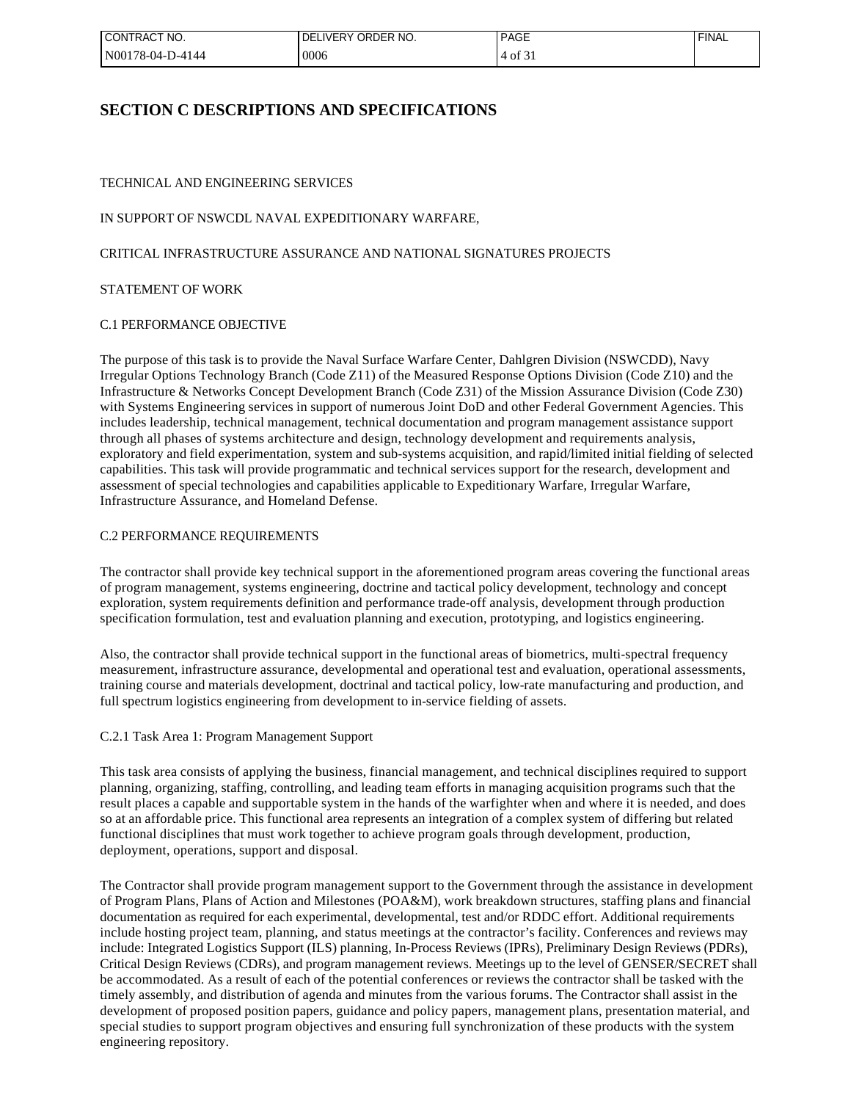| CONTRACT NO.     | I DELIVERY ORDER NO. | <b>PAGE</b>  | <b>FINAL</b> |
|------------------|----------------------|--------------|--------------|
| N00178-04-D-4144 | 0006                 | $4$ of $5$ . |              |

# **SECTION C DESCRIPTIONS AND SPECIFICATIONS**

# TECHNICAL AND ENGINEERING SERVICES

# IN SUPPORT OF NSWCDL NAVAL EXPEDITIONARY WARFARE,

### CRITICAL INFRASTRUCTURE ASSURANCE AND NATIONAL SIGNATURES PROJECTS

#### STATEMENT OF WORK

#### C.1 PERFORMANCE OBJECTIVE

The purpose of this task is to provide the Naval Surface Warfare Center, Dahlgren Division (NSWCDD), Navy Irregular Options Technology Branch (Code Z11) of the Measured Response Options Division (Code Z10) and the Infrastructure & Networks Concept Development Branch (Code Z31) of the Mission Assurance Division (Code Z30) with Systems Engineering services in support of numerous Joint DoD and other Federal Government Agencies. This includes leadership, technical management, technical documentation and program management assistance support through all phases of systems architecture and design, technology development and requirements analysis, exploratory and field experimentation, system and sub-systems acquisition, and rapid/limited initial fielding of selected capabilities. This task will provide programmatic and technical services support for the research, development and assessment of special technologies and capabilities applicable to Expeditionary Warfare, Irregular Warfare, Infrastructure Assurance, and Homeland Defense.

### C.2 PERFORMANCE REQUIREMENTS

The contractor shall provide key technical support in the aforementioned program areas covering the functional areas of program management, systems engineering, doctrine and tactical policy development, technology and concept exploration, system requirements definition and performance trade-off analysis, development through production specification formulation, test and evaluation planning and execution, prototyping, and logistics engineering.

Also, the contractor shall provide technical support in the functional areas of biometrics, multi-spectral frequency measurement, infrastructure assurance, developmental and operational test and evaluation, operational assessments, training course and materials development, doctrinal and tactical policy, low-rate manufacturing and production, and full spectrum logistics engineering from development to in-service fielding of assets.

#### C.2.1 Task Area 1: Program Management Support

This task area consists of applying the business, financial management, and technical disciplines required to support planning, organizing, staffing, controlling, and leading team efforts in managing acquisition programs such that the result places a capable and supportable system in the hands of the warfighter when and where it is needed, and does so at an affordable price. This functional area represents an integration of a complex system of differing but related functional disciplines that must work together to achieve program goals through development, production, deployment, operations, support and disposal.

The Contractor shall provide program management support to the Government through the assistance in development of Program Plans, Plans of Action and Milestones (POA&M), work breakdown structures, staffing plans and financial documentation as required for each experimental, developmental, test and/or RDDC effort. Additional requirements include hosting project team, planning, and status meetings at the contractor's facility. Conferences and reviews may include: Integrated Logistics Support (ILS) planning, In-Process Reviews (IPRs), Preliminary Design Reviews (PDRs), Critical Design Reviews (CDRs), and program management reviews. Meetings up to the level of GENSER/SECRET shall be accommodated. As a result of each of the potential conferences or reviews the contractor shall be tasked with the timely assembly, and distribution of agenda and minutes from the various forums. The Contractor shall assist in the development of proposed position papers, guidance and policy papers, management plans, presentation material, and special studies to support program objectives and ensuring full synchronization of these products with the system engineering repository.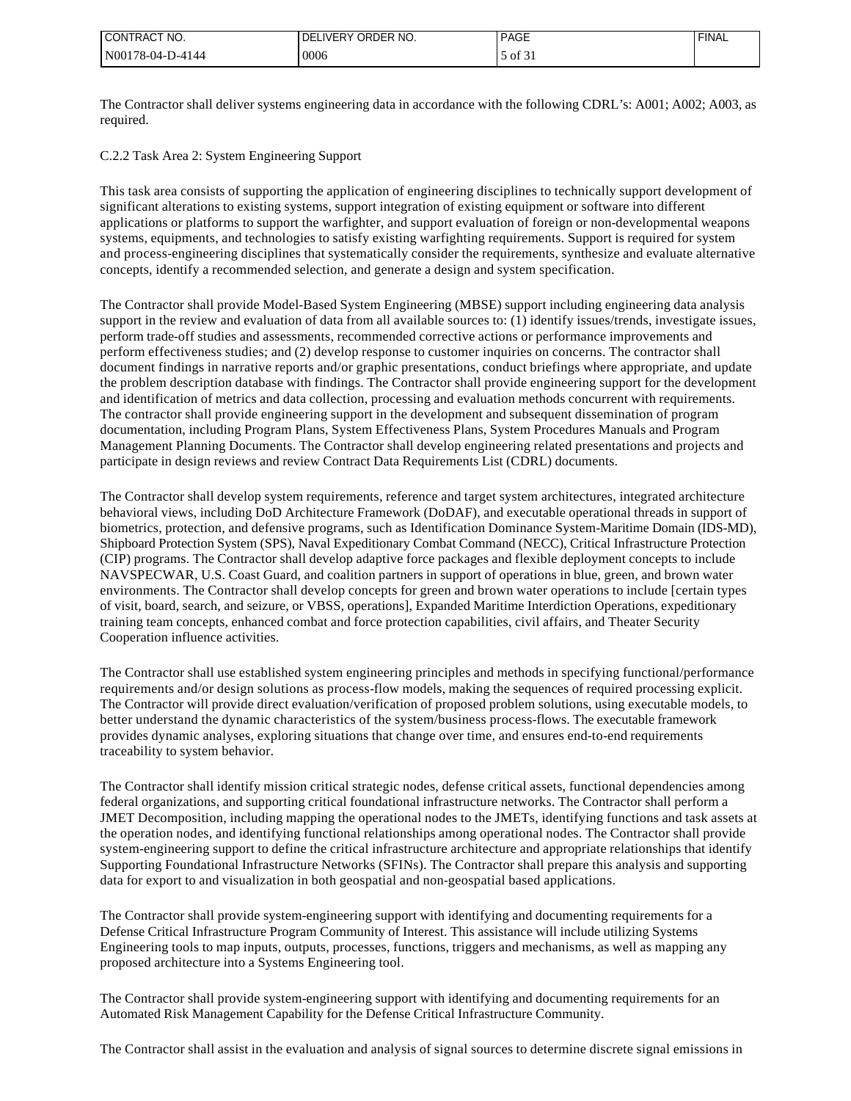| I CONTRACT NO.   | LIVERY ORDER NO.<br>DEI | <b>I PAGE</b>       | <b>FINAL</b> |
|------------------|-------------------------|---------------------|--------------|
| N00178-04-D-4144 | 10006                   | $\sim$ of $\circ$ . |              |

The Contractor shall deliver systems engineering data in accordance with the following CDRL's: A001; A002; A003, as required.

C.2.2 Task Area 2: System Engineering Support

This task area consists of supporting the application of engineering disciplines to technically support development of significant alterations to existing systems, support integration of existing equipment or software into different applications or platforms to support the warfighter, and support evaluation of foreign or non-developmental weapons systems, equipments, and technologies to satisfy existing warfighting requirements. Support is required for system and process-engineering disciplines that systematically consider the requirements, synthesize and evaluate alternative concepts, identify a recommended selection, and generate a design and system specification.

The Contractor shall provide Model-Based System Engineering (MBSE) support including engineering data analysis support in the review and evaluation of data from all available sources to: (1) identify issues/trends, investigate issues, perform trade-off studies and assessments, recommended corrective actions or performance improvements and perform effectiveness studies; and (2) develop response to customer inquiries on concerns. The contractor shall document findings in narrative reports and/or graphic presentations, conduct briefings where appropriate, and update the problem description database with findings. The Contractor shall provide engineering support for the development and identification of metrics and data collection, processing and evaluation methods concurrent with requirements. The contractor shall provide engineering support in the development and subsequent dissemination of program documentation, including Program Plans, System Effectiveness Plans, System Procedures Manuals and Program Management Planning Documents. The Contractor shall develop engineering related presentations and projects and participate in design reviews and review Contract Data Requirements List (CDRL) documents.

The Contractor shall develop system requirements, reference and target system architectures, integrated architecture behavioral views, including DoD Architecture Framework (DoDAF), and executable operational threads in support of biometrics, protection, and defensive programs, such as Identification Dominance System-Maritime Domain (IDS-MD), Shipboard Protection System (SPS), Naval Expeditionary Combat Command (NECC), Critical Infrastructure Protection (CIP) programs. The Contractor shall develop adaptive force packages and flexible deployment concepts to include NAVSPECWAR, U.S. Coast Guard, and coalition partners in support of operations in blue, green, and brown water environments. The Contractor shall develop concepts for green and brown water operations to include [certain types of visit, board, search, and seizure, or VBSS, operations], Expanded Maritime Interdiction Operations, expeditionary training team concepts, enhanced combat and force protection capabilities, civil affairs, and Theater Security Cooperation influence activities.

The Contractor shall use established system engineering principles and methods in specifying functional/performance requirements and/or design solutions as process-flow models, making the sequences of required processing explicit. The Contractor will provide direct evaluation/verification of proposed problem solutions, using executable models, to better understand the dynamic characteristics of the system/business process-flows. The executable framework provides dynamic analyses, exploring situations that change over time, and ensures end-to-end requirements traceability to system behavior.

The Contractor shall identify mission critical strategic nodes, defense critical assets, functional dependencies among federal organizations, and supporting critical foundational infrastructure networks. The Contractor shall perform a JMET Decomposition, including mapping the operational nodes to the JMETs, identifying functions and task assets at the operation nodes, and identifying functional relationships among operational nodes. The Contractor shall provide system-engineering support to define the critical infrastructure architecture and appropriate relationships that identify Supporting Foundational Infrastructure Networks (SFINs). The Contractor shall prepare this analysis and supporting data for export to and visualization in both geospatial and non-geospatial based applications.

The Contractor shall provide system-engineering support with identifying and documenting requirements for a Defense Critical Infrastructure Program Community of Interest. This assistance will include utilizing Systems Engineering tools to map inputs, outputs, processes, functions, triggers and mechanisms, as well as mapping any proposed architecture into a Systems Engineering tool.

The Contractor shall provide system-engineering support with identifying and documenting requirements for an Automated Risk Management Capability for the Defense Critical Infrastructure Community.

The Contractor shall assist in the evaluation and analysis of signal sources to determine discrete signal emissions in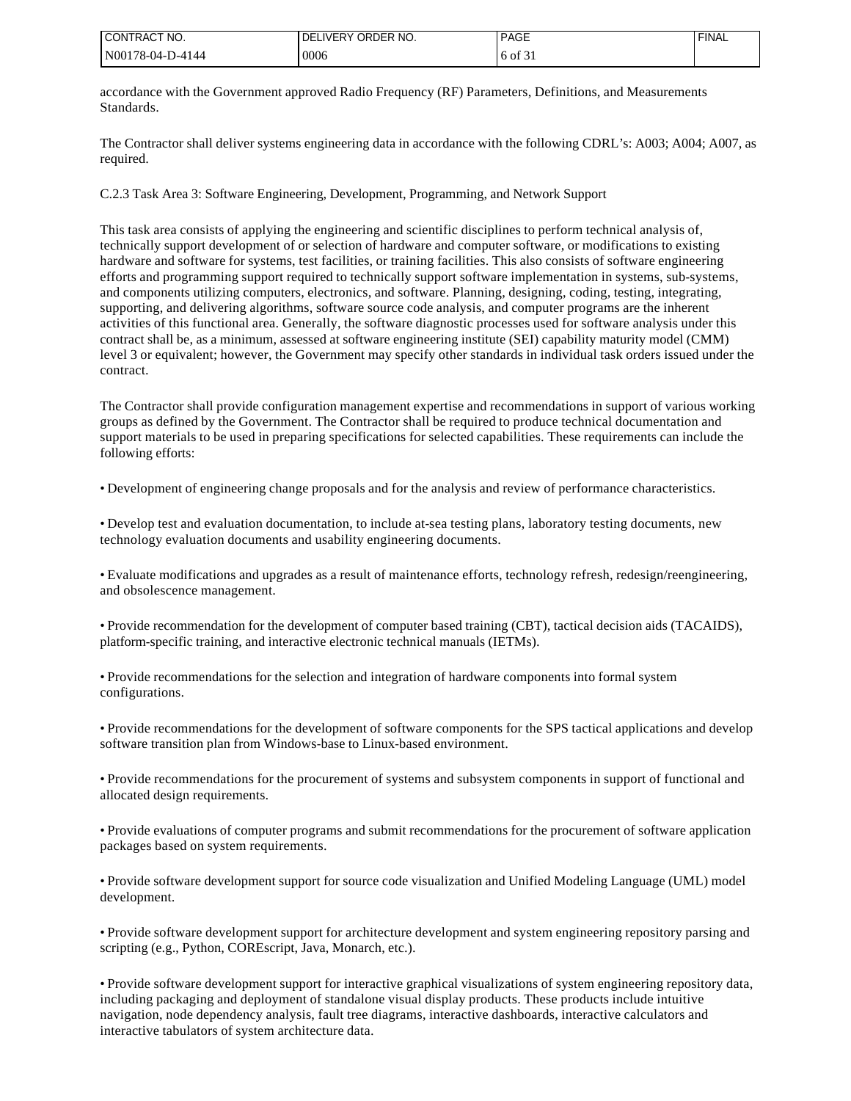| I CONTRACT NO.   | ORDER NO.<br><b>DELIVERY</b> | <b>PAGE</b>   | <b>FINAL</b> |
|------------------|------------------------------|---------------|--------------|
| N00178-04-D-4144 | 0006                         | $\sim$<br>-ot |              |

accordance with the Government approved Radio Frequency (RF) Parameters, Definitions, and Measurements Standards.

The Contractor shall deliver systems engineering data in accordance with the following CDRL's: A003; A004; A007, as required.

C.2.3 Task Area 3: Software Engineering, Development, Programming, and Network Support

This task area consists of applying the engineering and scientific disciplines to perform technical analysis of, technically support development of or selection of hardware and computer software, or modifications to existing hardware and software for systems, test facilities, or training facilities. This also consists of software engineering efforts and programming support required to technically support software implementation in systems, sub-systems, and components utilizing computers, electronics, and software. Planning, designing, coding, testing, integrating, supporting, and delivering algorithms, software source code analysis, and computer programs are the inherent activities of this functional area. Generally, the software diagnostic processes used for software analysis under this contract shall be, as a minimum, assessed at software engineering institute (SEI) capability maturity model (CMM) level 3 or equivalent; however, the Government may specify other standards in individual task orders issued under the contract.

The Contractor shall provide configuration management expertise and recommendations in support of various working groups as defined by the Government. The Contractor shall be required to produce technical documentation and support materials to be used in preparing specifications for selected capabilities. These requirements can include the following efforts:

• Development of engineering change proposals and for the analysis and review of performance characteristics.

• Develop test and evaluation documentation, to include at-sea testing plans, laboratory testing documents, new technology evaluation documents and usability engineering documents.

• Evaluate modifications and upgrades as a result of maintenance efforts, technology refresh, redesign/reengineering, and obsolescence management.

• Provide recommendation for the development of computer based training (CBT), tactical decision aids (TACAIDS), platform-specific training, and interactive electronic technical manuals (IETMs).

• Provide recommendations for the selection and integration of hardware components into formal system configurations.

• Provide recommendations for the development of software components for the SPS tactical applications and develop software transition plan from Windows-base to Linux-based environment.

• Provide recommendations for the procurement of systems and subsystem components in support of functional and allocated design requirements.

• Provide evaluations of computer programs and submit recommendations for the procurement of software application packages based on system requirements.

• Provide software development support for source code visualization and Unified Modeling Language (UML) model development.

• Provide software development support for architecture development and system engineering repository parsing and scripting (e.g., Python, COREscript, Java, Monarch, etc.).

• Provide software development support for interactive graphical visualizations of system engineering repository data, including packaging and deployment of standalone visual display products. These products include intuitive navigation, node dependency analysis, fault tree diagrams, interactive dashboards, interactive calculators and interactive tabulators of system architecture data.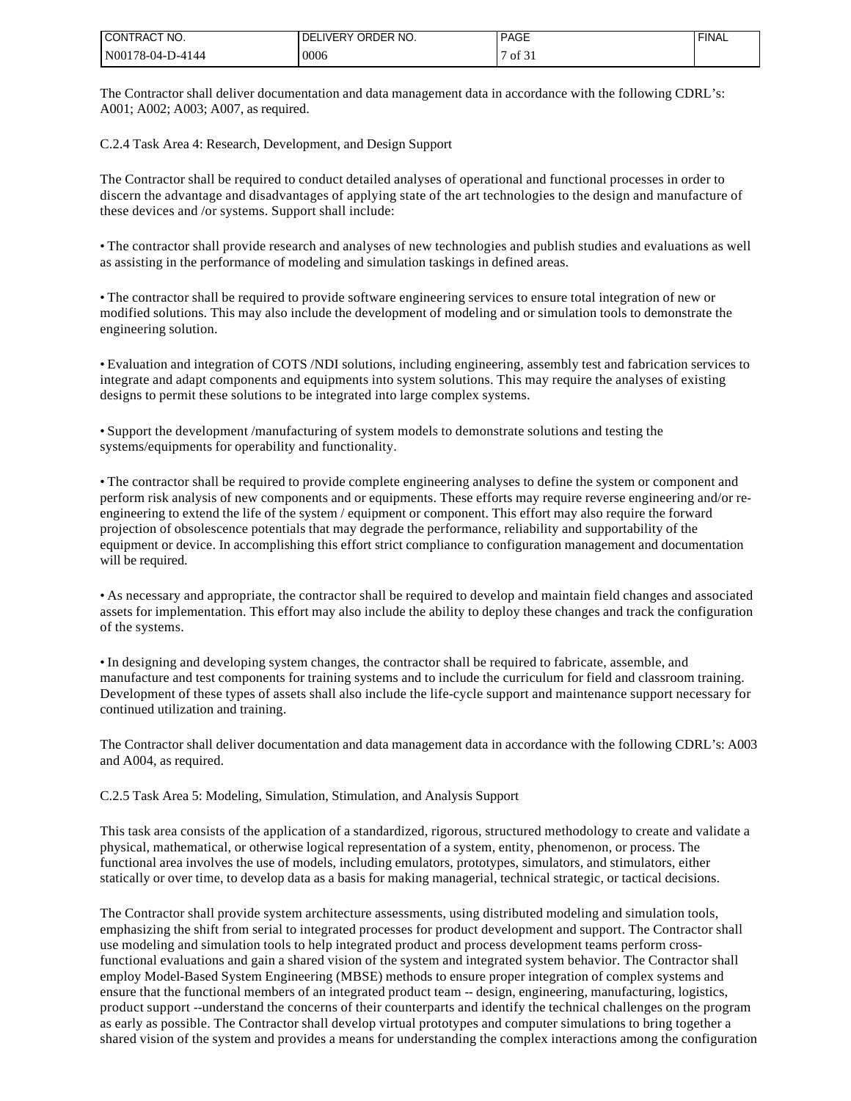| I CONTRACT NO.    | ! DELIVERY ORDER NO. | <b>PAGE</b>                           | <b>FINAL</b> |
|-------------------|----------------------|---------------------------------------|--------------|
| IN00178-04-D-4144 | 0006                 | $\sim$ $\sim$<br>$\sim$ 0.1 of $\sim$ |              |

The Contractor shall deliver documentation and data management data in accordance with the following CDRL's: A001; A002; A003; A007, as required.

C.2.4 Task Area 4: Research, Development, and Design Support

The Contractor shall be required to conduct detailed analyses of operational and functional processes in order to discern the advantage and disadvantages of applying state of the art technologies to the design and manufacture of these devices and /or systems. Support shall include:

• The contractor shall provide research and analyses of new technologies and publish studies and evaluations as well as assisting in the performance of modeling and simulation taskings in defined areas.

• The contractor shall be required to provide software engineering services to ensure total integration of new or modified solutions. This may also include the development of modeling and or simulation tools to demonstrate the engineering solution.

• Evaluation and integration of COTS /NDI solutions, including engineering, assembly test and fabrication services to integrate and adapt components and equipments into system solutions. This may require the analyses of existing designs to permit these solutions to be integrated into large complex systems.

• Support the development /manufacturing of system models to demonstrate solutions and testing the systems/equipments for operability and functionality.

• The contractor shall be required to provide complete engineering analyses to define the system or component and perform risk analysis of new components and or equipments. These efforts may require reverse engineering and/or reengineering to extend the life of the system / equipment or component. This effort may also require the forward projection of obsolescence potentials that may degrade the performance, reliability and supportability of the equipment or device. In accomplishing this effort strict compliance to configuration management and documentation will be required.

• As necessary and appropriate, the contractor shall be required to develop and maintain field changes and associated assets for implementation. This effort may also include the ability to deploy these changes and track the configuration of the systems.

• In designing and developing system changes, the contractor shall be required to fabricate, assemble, and manufacture and test components for training systems and to include the curriculum for field and classroom training. Development of these types of assets shall also include the life-cycle support and maintenance support necessary for continued utilization and training.

The Contractor shall deliver documentation and data management data in accordance with the following CDRL's: A003 and A004, as required.

C.2.5 Task Area 5: Modeling, Simulation, Stimulation, and Analysis Support

This task area consists of the application of a standardized, rigorous, structured methodology to create and validate a physical, mathematical, or otherwise logical representation of a system, entity, phenomenon, or process. The functional area involves the use of models, including emulators, prototypes, simulators, and stimulators, either statically or over time, to develop data as a basis for making managerial, technical strategic, or tactical decisions.

The Contractor shall provide system architecture assessments, using distributed modeling and simulation tools, emphasizing the shift from serial to integrated processes for product development and support. The Contractor shall use modeling and simulation tools to help integrated product and process development teams perform crossfunctional evaluations and gain a shared vision of the system and integrated system behavior. The Contractor shall employ Model-Based System Engineering (MBSE) methods to ensure proper integration of complex systems and ensure that the functional members of an integrated product team -- design, engineering, manufacturing, logistics, product support --understand the concerns of their counterparts and identify the technical challenges on the program as early as possible. The Contractor shall develop virtual prototypes and computer simulations to bring together a shared vision of the system and provides a means for understanding the complex interactions among the configuration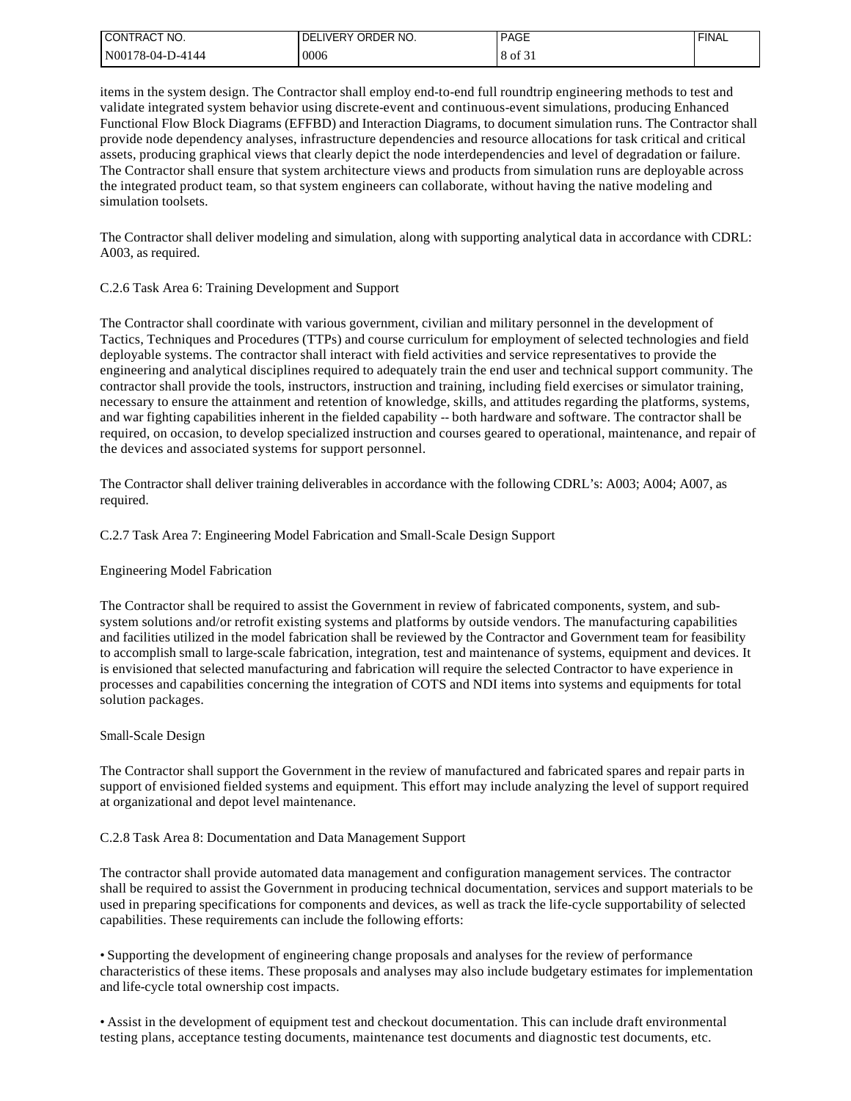| I CONTRACT NO.   | IVERY ORDER NO.<br>DE. | <b>PAGE</b> | <b>FINAL</b> |
|------------------|------------------------|-------------|--------------|
| N00178-04-D-4144 | 0006                   | 8 of 31     |              |

items in the system design. The Contractor shall employ end-to-end full roundtrip engineering methods to test and validate integrated system behavior using discrete-event and continuous-event simulations, producing Enhanced Functional Flow Block Diagrams (EFFBD) and Interaction Diagrams, to document simulation runs. The Contractor shall provide node dependency analyses, infrastructure dependencies and resource allocations for task critical and critical assets, producing graphical views that clearly depict the node interdependencies and level of degradation or failure. The Contractor shall ensure that system architecture views and products from simulation runs are deployable across the integrated product team, so that system engineers can collaborate, without having the native modeling and simulation toolsets.

The Contractor shall deliver modeling and simulation, along with supporting analytical data in accordance with CDRL: A003, as required.

#### C.2.6 Task Area 6: Training Development and Support

The Contractor shall coordinate with various government, civilian and military personnel in the development of Tactics, Techniques and Procedures (TTPs) and course curriculum for employment of selected technologies and field deployable systems. The contractor shall interact with field activities and service representatives to provide the engineering and analytical disciplines required to adequately train the end user and technical support community. The contractor shall provide the tools, instructors, instruction and training, including field exercises or simulator training, necessary to ensure the attainment and retention of knowledge, skills, and attitudes regarding the platforms, systems, and war fighting capabilities inherent in the fielded capability -- both hardware and software. The contractor shall be required, on occasion, to develop specialized instruction and courses geared to operational, maintenance, and repair of the devices and associated systems for support personnel.

The Contractor shall deliver training deliverables in accordance with the following CDRL's: A003; A004; A007, as required.

# C.2.7 Task Area 7: Engineering Model Fabrication and Small-Scale Design Support

# Engineering Model Fabrication

The Contractor shall be required to assist the Government in review of fabricated components, system, and subsystem solutions and/or retrofit existing systems and platforms by outside vendors. The manufacturing capabilities and facilities utilized in the model fabrication shall be reviewed by the Contractor and Government team for feasibility to accomplish small to large-scale fabrication, integration, test and maintenance of systems, equipment and devices. It is envisioned that selected manufacturing and fabrication will require the selected Contractor to have experience in processes and capabilities concerning the integration of COTS and NDI items into systems and equipments for total solution packages.

#### Small-Scale Design

The Contractor shall support the Government in the review of manufactured and fabricated spares and repair parts in support of envisioned fielded systems and equipment. This effort may include analyzing the level of support required at organizational and depot level maintenance.

# C.2.8 Task Area 8: Documentation and Data Management Support

The contractor shall provide automated data management and configuration management services. The contractor shall be required to assist the Government in producing technical documentation, services and support materials to be used in preparing specifications for components and devices, as well as track the life-cycle supportability of selected capabilities. These requirements can include the following efforts:

• Supporting the development of engineering change proposals and analyses for the review of performance characteristics of these items. These proposals and analyses may also include budgetary estimates for implementation and life-cycle total ownership cost impacts.

• Assist in the development of equipment test and checkout documentation. This can include draft environmental testing plans, acceptance testing documents, maintenance test documents and diagnostic test documents, etc.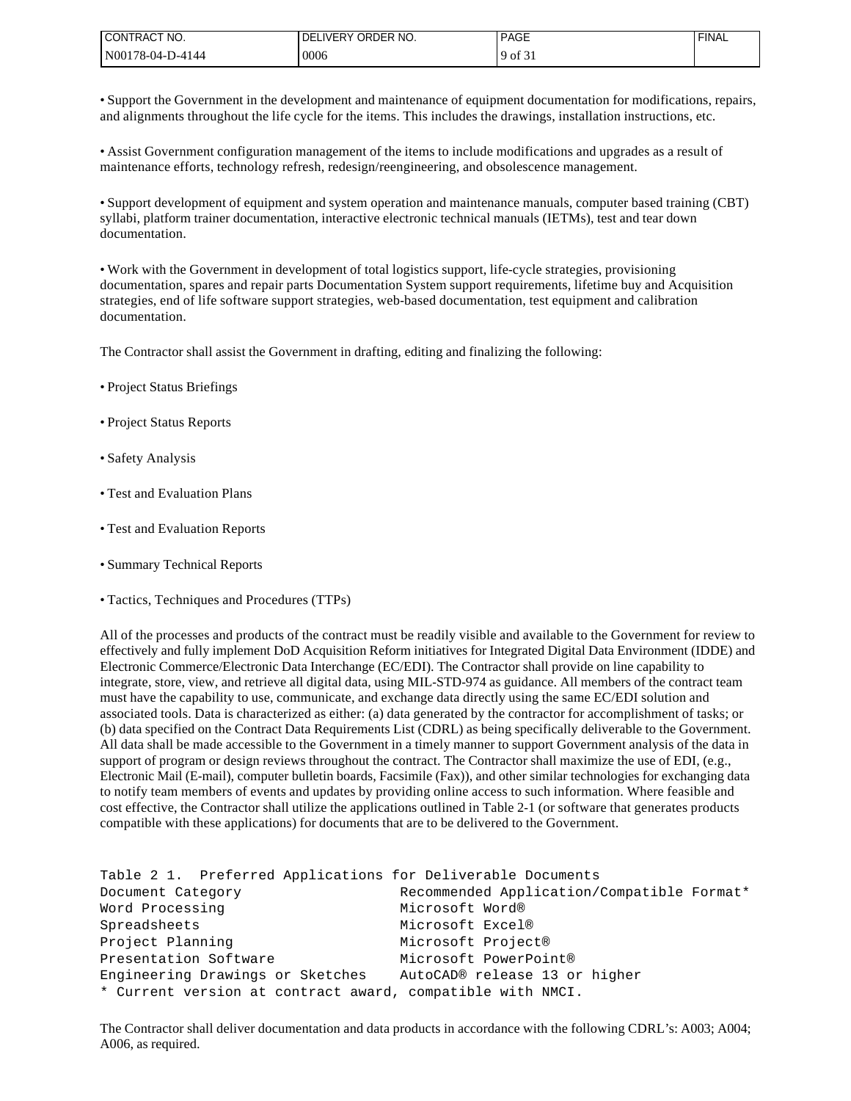| I CONTRACT NO.   | ' IVERY ORDER NO.<br>DF | <b>PAGE</b> | <b>FINAL</b> |
|------------------|-------------------------|-------------|--------------|
| N00178-04-D-4144 | 0006                    | оf<br>u     |              |

• Support the Government in the development and maintenance of equipment documentation for modifications, repairs, and alignments throughout the life cycle for the items. This includes the drawings, installation instructions, etc.

• Assist Government configuration management of the items to include modifications and upgrades as a result of maintenance efforts, technology refresh, redesign/reengineering, and obsolescence management.

• Support development of equipment and system operation and maintenance manuals, computer based training (CBT) syllabi, platform trainer documentation, interactive electronic technical manuals (IETMs), test and tear down documentation.

• Work with the Government in development of total logistics support, life-cycle strategies, provisioning documentation, spares and repair parts Documentation System support requirements, lifetime buy and Acquisition strategies, end of life software support strategies, web-based documentation, test equipment and calibration documentation.

The Contractor shall assist the Government in drafting, editing and finalizing the following:

- Project Status Briefings
- Project Status Reports
- Safety Analysis
- Test and Evaluation Plans
- Test and Evaluation Reports
- Summary Technical Reports
- Tactics, Techniques and Procedures (TTPs)

All of the processes and products of the contract must be readily visible and available to the Government for review to effectively and fully implement DoD Acquisition Reform initiatives for Integrated Digital Data Environment (IDDE) and Electronic Commerce/Electronic Data Interchange (EC/EDI). The Contractor shall provide on line capability to integrate, store, view, and retrieve all digital data, using MIL-STD-974 as guidance. All members of the contract team must have the capability to use, communicate, and exchange data directly using the same EC/EDI solution and associated tools. Data is characterized as either: (a) data generated by the contractor for accomplishment of tasks; or (b) data specified on the Contract Data Requirements List (CDRL) as being specifically deliverable to the Government. All data shall be made accessible to the Government in a timely manner to support Government analysis of the data in support of program or design reviews throughout the contract. The Contractor shall maximize the use of EDI, (e.g., Electronic Mail (E-mail), computer bulletin boards, Facsimile (Fax)), and other similar technologies for exchanging data to notify team members of events and updates by providing online access to such information. Where feasible and cost effective, the Contractor shall utilize the applications outlined in Table 2-1 (or software that generates products compatible with these applications) for documents that are to be delivered to the Government.

```
Table 2 1. Preferred Applications for Deliverable Documents
Document Category Recommended Application/Compatible Format*
Word Processing Microsoft Word®
Spreadsheets Microsoft Excel®
Project Planning Microsoft Project®
Presentation Software Microsoft PowerPoint®
Engineering Drawings or Sketches AutoCAD® release 13 or higher
* Current version at contract award, compatible with NMCI.
```
The Contractor shall deliver documentation and data products in accordance with the following CDRL's: A003; A004; A006, as required.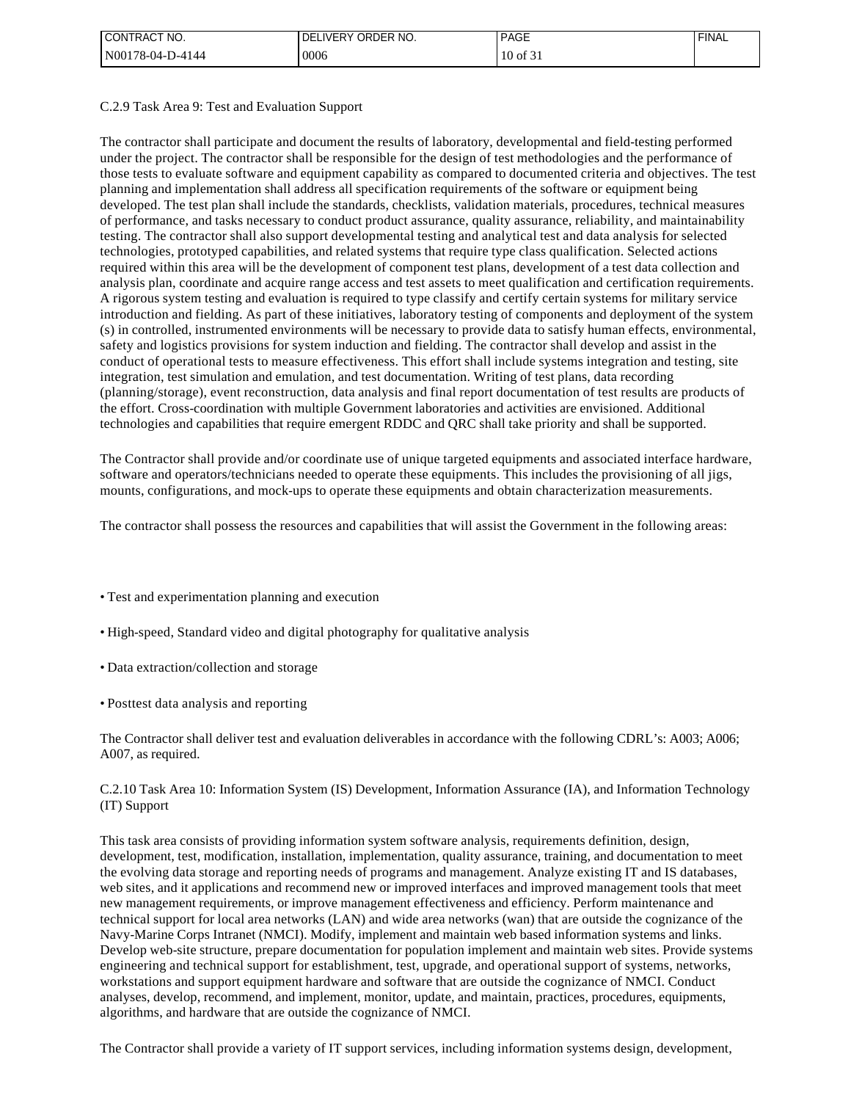| I CONTRACT NO.   | ! DELIVERY ORDER NO. | <b>PAGE</b>      | <b>FINAL</b> |
|------------------|----------------------|------------------|--------------|
| N00178-04-D-4144 | 0006                 | $10$ of $\sim$ . |              |

#### C.2.9 Task Area 9: Test and Evaluation Support

The contractor shall participate and document the results of laboratory, developmental and field-testing performed under the project. The contractor shall be responsible for the design of test methodologies and the performance of those tests to evaluate software and equipment capability as compared to documented criteria and objectives. The test planning and implementation shall address all specification requirements of the software or equipment being developed. The test plan shall include the standards, checklists, validation materials, procedures, technical measures of performance, and tasks necessary to conduct product assurance, quality assurance, reliability, and maintainability testing. The contractor shall also support developmental testing and analytical test and data analysis for selected technologies, prototyped capabilities, and related systems that require type class qualification. Selected actions required within this area will be the development of component test plans, development of a test data collection and analysis plan, coordinate and acquire range access and test assets to meet qualification and certification requirements. A rigorous system testing and evaluation is required to type classify and certify certain systems for military service introduction and fielding. As part of these initiatives, laboratory testing of components and deployment of the system (s) in controlled, instrumented environments will be necessary to provide data to satisfy human effects, environmental, safety and logistics provisions for system induction and fielding. The contractor shall develop and assist in the conduct of operational tests to measure effectiveness. This effort shall include systems integration and testing, site integration, test simulation and emulation, and test documentation. Writing of test plans, data recording (planning/storage), event reconstruction, data analysis and final report documentation of test results are products of the effort. Cross-coordination with multiple Government laboratories and activities are envisioned. Additional technologies and capabilities that require emergent RDDC and QRC shall take priority and shall be supported.

The Contractor shall provide and/or coordinate use of unique targeted equipments and associated interface hardware, software and operators/technicians needed to operate these equipments. This includes the provisioning of all jigs, mounts, configurations, and mock-ups to operate these equipments and obtain characterization measurements.

The contractor shall possess the resources and capabilities that will assist the Government in the following areas:

- Test and experimentation planning and execution
- High-speed, Standard video and digital photography for qualitative analysis
- Data extraction/collection and storage
- Posttest data analysis and reporting

The Contractor shall deliver test and evaluation deliverables in accordance with the following CDRL's: A003; A006; A007, as required.

### C.2.10 Task Area 10: Information System (IS) Development, Information Assurance (IA), and Information Technology (IT) Support

This task area consists of providing information system software analysis, requirements definition, design, development, test, modification, installation, implementation, quality assurance, training, and documentation to meet the evolving data storage and reporting needs of programs and management. Analyze existing IT and IS databases, web sites, and it applications and recommend new or improved interfaces and improved management tools that meet new management requirements, or improve management effectiveness and efficiency. Perform maintenance and technical support for local area networks (LAN) and wide area networks (wan) that are outside the cognizance of the Navy-Marine Corps Intranet (NMCI). Modify, implement and maintain web based information systems and links. Develop web-site structure, prepare documentation for population implement and maintain web sites. Provide systems engineering and technical support for establishment, test, upgrade, and operational support of systems, networks, workstations and support equipment hardware and software that are outside the cognizance of NMCI. Conduct analyses, develop, recommend, and implement, monitor, update, and maintain, practices, procedures, equipments, algorithms, and hardware that are outside the cognizance of NMCI.

The Contractor shall provide a variety of IT support services, including information systems design, development,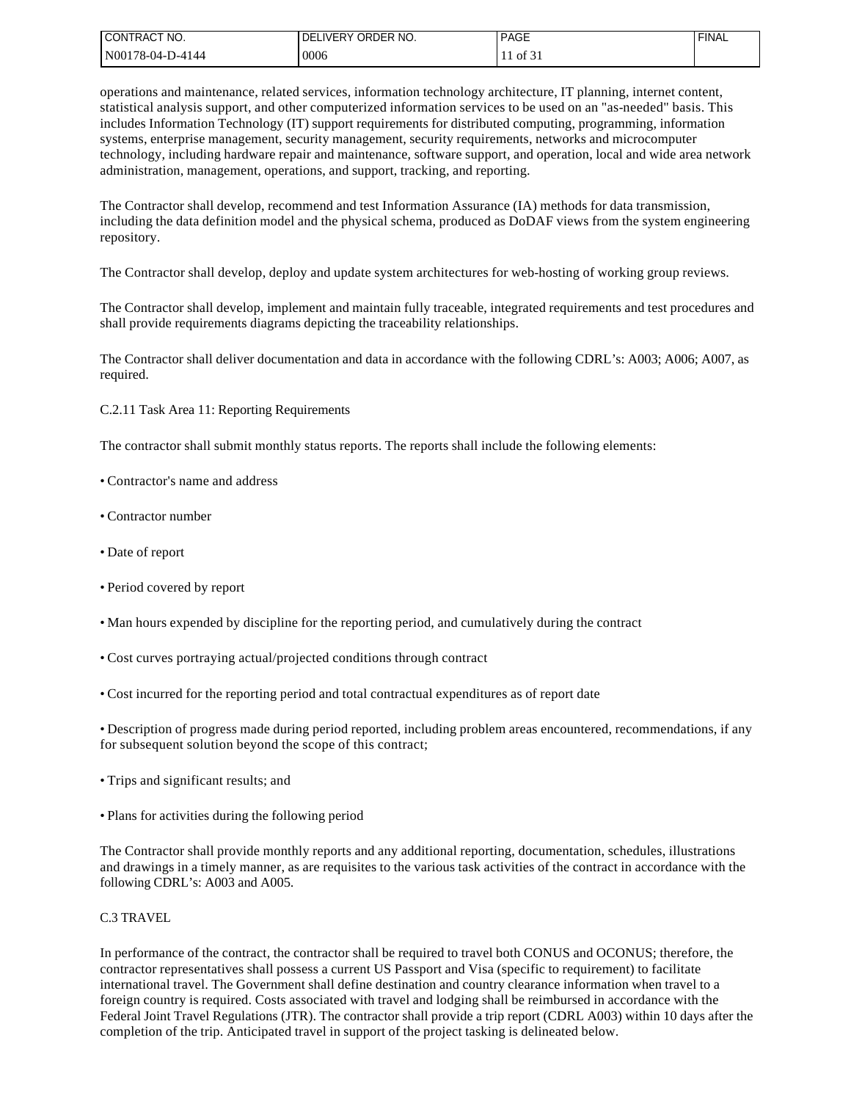| I CONTRACT NO.    | I DELIVERY ORDER NO. | <b>PAGE</b>               | <b>FINAL</b> |
|-------------------|----------------------|---------------------------|--------------|
| IN00178-04-D-4144 | 0006                 | $\cdot$ to to the $\cdot$ |              |

operations and maintenance, related services, information technology architecture, IT planning, internet content, statistical analysis support, and other computerized information services to be used on an "as-needed" basis. This includes Information Technology (IT) support requirements for distributed computing, programming, information systems, enterprise management, security management, security requirements, networks and microcomputer technology, including hardware repair and maintenance, software support, and operation, local and wide area network administration, management, operations, and support, tracking, and reporting.

The Contractor shall develop, recommend and test Information Assurance (IA) methods for data transmission, including the data definition model and the physical schema, produced as DoDAF views from the system engineering repository.

The Contractor shall develop, deploy and update system architectures for web-hosting of working group reviews.

The Contractor shall develop, implement and maintain fully traceable, integrated requirements and test procedures and shall provide requirements diagrams depicting the traceability relationships.

The Contractor shall deliver documentation and data in accordance with the following CDRL's: A003; A006; A007, as required.

C.2.11 Task Area 11: Reporting Requirements

The contractor shall submit monthly status reports. The reports shall include the following elements:

- Contractor's name and address
- Contractor number
- Date of report
- Period covered by report
- Man hours expended by discipline for the reporting period, and cumulatively during the contract
- Cost curves portraying actual/projected conditions through contract
- Cost incurred for the reporting period and total contractual expenditures as of report date

• Description of progress made during period reported, including problem areas encountered, recommendations, if any for subsequent solution beyond the scope of this contract;

- Trips and significant results; and
- Plans for activities during the following period

The Contractor shall provide monthly reports and any additional reporting, documentation, schedules, illustrations and drawings in a timely manner, as are requisites to the various task activities of the contract in accordance with the following CDRL's: A003 and A005.

#### C.3 TRAVEL

In performance of the contract, the contractor shall be required to travel both CONUS and OCONUS; therefore, the contractor representatives shall possess a current US Passport and Visa (specific to requirement) to facilitate international travel. The Government shall define destination and country clearance information when travel to a foreign country is required. Costs associated with travel and lodging shall be reimbursed in accordance with the Federal Joint Travel Regulations (JTR). The contractor shall provide a trip report (CDRL A003) within 10 days after the completion of the trip. Anticipated travel in support of the project tasking is delineated below.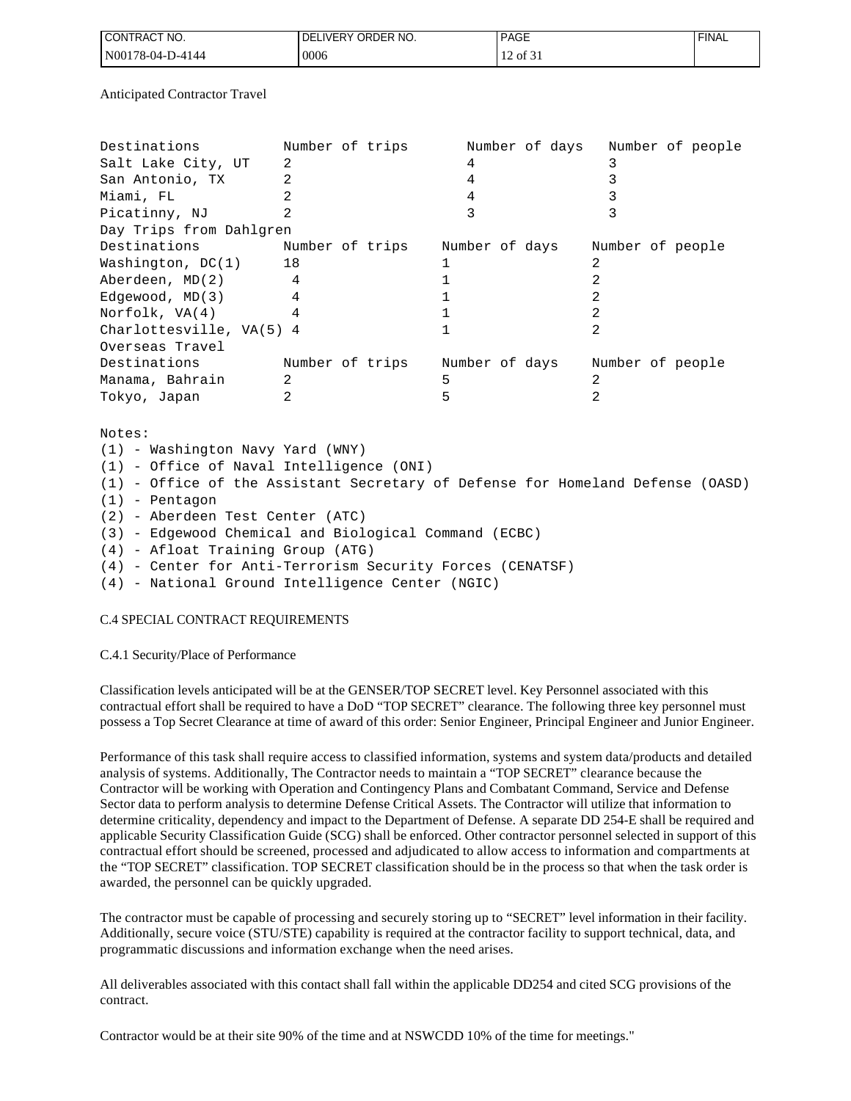| NO.<br><b>ICONT</b><br>''RAC⊤ | IVERY ORDER NO.<br>DE) | <b>PAGE</b><br>_____ | <b>FINAL</b> |
|-------------------------------|------------------------|----------------------|--------------|
| IN00178-04-D-4144             | 0006                   | $\sim$<br>201.1      |              |

Anticipated Contractor Travel

| Destinations              | Number of trips |  |                |  | Number of days |                  |  | Number of people |
|---------------------------|-----------------|--|----------------|--|----------------|------------------|--|------------------|
| Salt Lake City, UT        | 2               |  | 4              |  |                |                  |  |                  |
| San Antonio, TX           | 2               |  | 4              |  |                |                  |  |                  |
| Miami, FL                 |                 |  | 4              |  |                |                  |  |                  |
| Picatinny, NJ             |                 |  |                |  |                |                  |  |                  |
| Day Trips from Dahlgren   |                 |  |                |  |                |                  |  |                  |
| Destinations              | Number of trips |  | Number of days |  |                | Number of people |  |                  |
| 18<br>Washington, $DC(1)$ |                 |  |                |  |                |                  |  |                  |
| Aberdeen, MD(2)           | 4               |  |                |  |                |                  |  |                  |
| Edgewood, MD(3)           | 4               |  |                |  |                |                  |  |                  |
| Norfolk, VA(4)            |                 |  |                |  |                |                  |  |                  |
| Charlottesville, VA(5) 4  |                 |  |                |  |                |                  |  |                  |
| Overseas Travel           |                 |  |                |  |                |                  |  |                  |
| Destinations              | Number of trips |  | Number of days |  |                | Number of people |  |                  |
| Manama, Bahrain           | 2               |  | 5              |  |                |                  |  |                  |
| Tokyo, Japan              |                 |  |                |  |                |                  |  |                  |

Notes: (1) - Washington Navy Yard (WNY) (1) - Office of Naval Intelligence (ONI) (1) - Office of the Assistant Secretary of Defense for Homeland Defense (OASD) (1) - Pentagon (2) - Aberdeen Test Center (ATC) (3) - Edgewood Chemical and Biological Command (ECBC) (4) - Afloat Training Group (ATG) (4) - Center for Anti-Terrorism Security Forces (CENATSF) (4) - National Ground Intelligence Center (NGIC)

# C.4 SPECIAL CONTRACT REQUIREMENTS

#### C.4.1 Security/Place of Performance

Classification levels anticipated will be at the GENSER/TOP SECRET level. Key Personnel associated with this contractual effort shall be required to have a DoD "TOP SECRET" clearance. The following three key personnel must possess a Top Secret Clearance at time of award of this order: Senior Engineer, Principal Engineer and Junior Engineer.

Performance of this task shall require access to classified information, systems and system data/products and detailed analysis of systems. Additionally, The Contractor needs to maintain a "TOP SECRET" clearance because the Contractor will be working with Operation and Contingency Plans and Combatant Command, Service and Defense Sector data to perform analysis to determine Defense Critical Assets. The Contractor will utilize that information to determine criticality, dependency and impact to the Department of Defense. A separate DD 254-E shall be required and applicable Security Classification Guide (SCG) shall be enforced. Other contractor personnel selected in support of this contractual effort should be screened, processed and adjudicated to allow access to information and compartments at the "TOP SECRET" classification. TOP SECRET classification should be in the process so that when the task order is awarded, the personnel can be quickly upgraded.

The contractor must be capable of processing and securely storing up to "SECRET" level information in their facility. Additionally, secure voice (STU/STE) capability is required at the contractor facility to support technical, data, and programmatic discussions and information exchange when the need arises.

All deliverables associated with this contact shall fall within the applicable DD254 and cited SCG provisions of the contract.

Contractor would be at their site 90% of the time and at NSWCDD 10% of the time for meetings."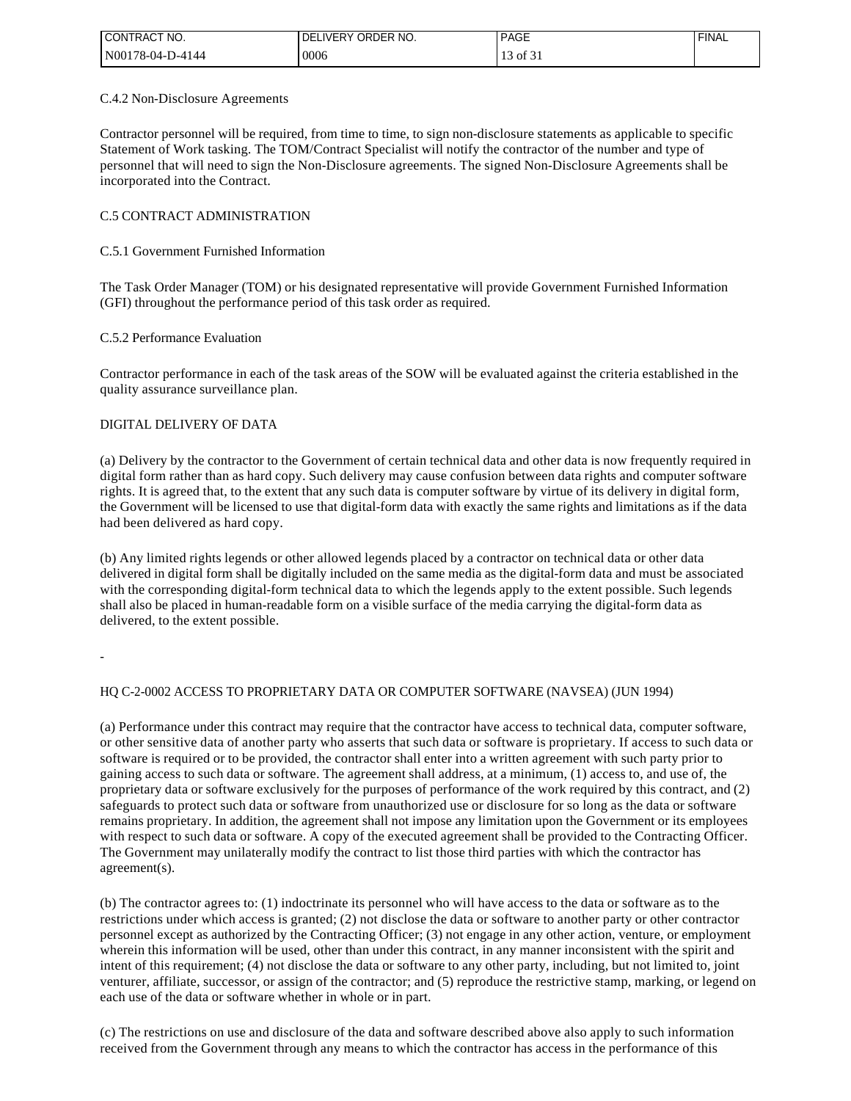| <b>ICONTRACT NO.</b> | ! DELIVERY ORDER NO. | <b>PAGE</b>     | <b>FINAL</b> |
|----------------------|----------------------|-----------------|--------------|
| IN00178-04-D-4144    | 0006                 | $\degree$ of 3. |              |

#### C.4.2 Non-Disclosure Agreements

Contractor personnel will be required, from time to time, to sign non-disclosure statements as applicable to specific Statement of Work tasking. The TOM/Contract Specialist will notify the contractor of the number and type of personnel that will need to sign the Non-Disclosure agreements. The signed Non-Disclosure Agreements shall be incorporated into the Contract.

# C.5 CONTRACT ADMINISTRATION

### C.5.1 Government Furnished Information

The Task Order Manager (TOM) or his designated representative will provide Government Furnished Information (GFI) throughout the performance period of this task order as required.

#### C.5.2 Performance Evaluation

Contractor performance in each of the task areas of the SOW will be evaluated against the criteria established in the quality assurance surveillance plan.

# DIGITAL DELIVERY OF DATA

(a) Delivery by the contractor to the Government of certain technical data and other data is now frequently required in digital form rather than as hard copy. Such delivery may cause confusion between data rights and computer software rights. It is agreed that, to the extent that any such data is computer software by virtue of its delivery in digital form, the Government will be licensed to use that digital-form data with exactly the same rights and limitations as if the data had been delivered as hard copy.

(b) Any limited rights legends or other allowed legends placed by a contractor on technical data or other data delivered in digital form shall be digitally included on the same media as the digital-form data and must be associated with the corresponding digital-form technical data to which the legends apply to the extent possible. Such legends shall also be placed in human-readable form on a visible surface of the media carrying the digital-form data as delivered, to the extent possible.

-

# HQ C-2-0002 ACCESS TO PROPRIETARY DATA OR COMPUTER SOFTWARE (NAVSEA) (JUN 1994)

(a) Performance under this contract may require that the contractor have access to technical data, computer software, or other sensitive data of another party who asserts that such data or software is proprietary. If access to such data or software is required or to be provided, the contractor shall enter into a written agreement with such party prior to gaining access to such data or software. The agreement shall address, at a minimum, (1) access to, and use of, the proprietary data or software exclusively for the purposes of performance of the work required by this contract, and (2) safeguards to protect such data or software from unauthorized use or disclosure for so long as the data or software remains proprietary. In addition, the agreement shall not impose any limitation upon the Government or its employees with respect to such data or software. A copy of the executed agreement shall be provided to the Contracting Officer. The Government may unilaterally modify the contract to list those third parties with which the contractor has agreement(s).

(b) The contractor agrees to: (1) indoctrinate its personnel who will have access to the data or software as to the restrictions under which access is granted; (2) not disclose the data or software to another party or other contractor personnel except as authorized by the Contracting Officer; (3) not engage in any other action, venture, or employment wherein this information will be used, other than under this contract, in any manner inconsistent with the spirit and intent of this requirement; (4) not disclose the data or software to any other party, including, but not limited to, joint venturer, affiliate, successor, or assign of the contractor; and (5) reproduce the restrictive stamp, marking, or legend on each use of the data or software whether in whole or in part.

(c) The restrictions on use and disclosure of the data and software described above also apply to such information received from the Government through any means to which the contractor has access in the performance of this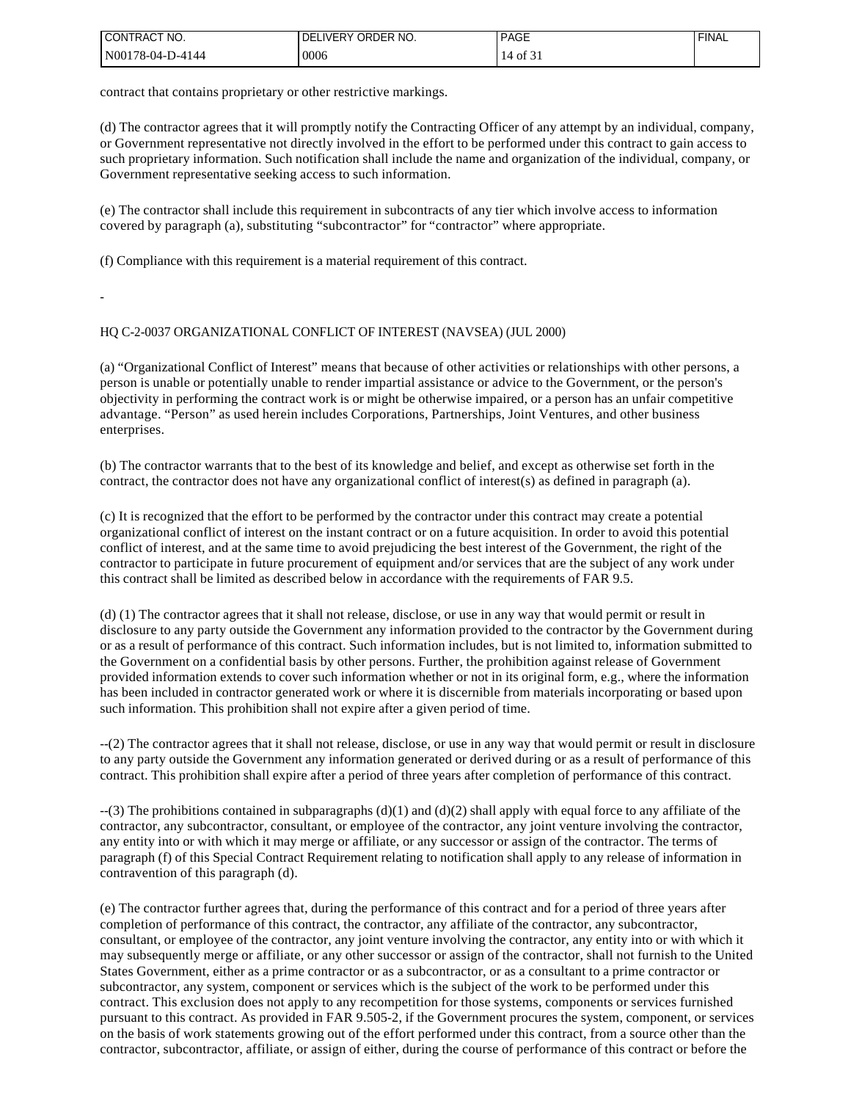| I CONTRACT NO.   | I DELIVERY ORDER NO. | <b>PAGE</b>       | <b>FINAL</b> |
|------------------|----------------------|-------------------|--------------|
| N00178-04-D-4144 | 0006                 | $\sim$<br>0Ī<br>4 |              |

contract that contains proprietary or other restrictive markings.

(d) The contractor agrees that it will promptly notify the Contracting Officer of any attempt by an individual, company, or Government representative not directly involved in the effort to be performed under this contract to gain access to such proprietary information. Such notification shall include the name and organization of the individual, company, or Government representative seeking access to such information.

(e) The contractor shall include this requirement in subcontracts of any tier which involve access to information covered by paragraph (a), substituting "subcontractor" for "contractor" where appropriate.

(f) Compliance with this requirement is a material requirement of this contract.

-

#### HQ C-2-0037 ORGANIZATIONAL CONFLICT OF INTEREST (NAVSEA) (JUL 2000)

(a) "Organizational Conflict of Interest" means that because of other activities or relationships with other persons, a person is unable or potentially unable to render impartial assistance or advice to the Government, or the person's objectivity in performing the contract work is or might be otherwise impaired, or a person has an unfair competitive advantage. "Person" as used herein includes Corporations, Partnerships, Joint Ventures, and other business enterprises.

(b) The contractor warrants that to the best of its knowledge and belief, and except as otherwise set forth in the contract, the contractor does not have any organizational conflict of interest(s) as defined in paragraph (a).

(c) It is recognized that the effort to be performed by the contractor under this contract may create a potential organizational conflict of interest on the instant contract or on a future acquisition. In order to avoid this potential conflict of interest, and at the same time to avoid prejudicing the best interest of the Government, the right of the contractor to participate in future procurement of equipment and/or services that are the subject of any work under this contract shall be limited as described below in accordance with the requirements of FAR 9.5.

(d) (1) The contractor agrees that it shall not release, disclose, or use in any way that would permit or result in disclosure to any party outside the Government any information provided to the contractor by the Government during or as a result of performance of this contract. Such information includes, but is not limited to, information submitted to the Government on a confidential basis by other persons. Further, the prohibition against release of Government provided information extends to cover such information whether or not in its original form, e.g., where the information has been included in contractor generated work or where it is discernible from materials incorporating or based upon such information. This prohibition shall not expire after a given period of time.

--(2) The contractor agrees that it shall not release, disclose, or use in any way that would permit or result in disclosure to any party outside the Government any information generated or derived during or as a result of performance of this contract. This prohibition shall expire after a period of three years after completion of performance of this contract.

 $-(3)$  The prohibitions contained in subparagraphs (d)(1) and (d)(2) shall apply with equal force to any affiliate of the contractor, any subcontractor, consultant, or employee of the contractor, any joint venture involving the contractor, any entity into or with which it may merge or affiliate, or any successor or assign of the contractor. The terms of paragraph (f) of this Special Contract Requirement relating to notification shall apply to any release of information in contravention of this paragraph (d).

(e) The contractor further agrees that, during the performance of this contract and for a period of three years after completion of performance of this contract, the contractor, any affiliate of the contractor, any subcontractor, consultant, or employee of the contractor, any joint venture involving the contractor, any entity into or with which it may subsequently merge or affiliate, or any other successor or assign of the contractor, shall not furnish to the United States Government, either as a prime contractor or as a subcontractor, or as a consultant to a prime contractor or subcontractor, any system, component or services which is the subject of the work to be performed under this contract. This exclusion does not apply to any recompetition for those systems, components or services furnished pursuant to this contract. As provided in FAR 9.505-2, if the Government procures the system, component, or services on the basis of work statements growing out of the effort performed under this contract, from a source other than the contractor, subcontractor, affiliate, or assign of either, during the course of performance of this contract or before the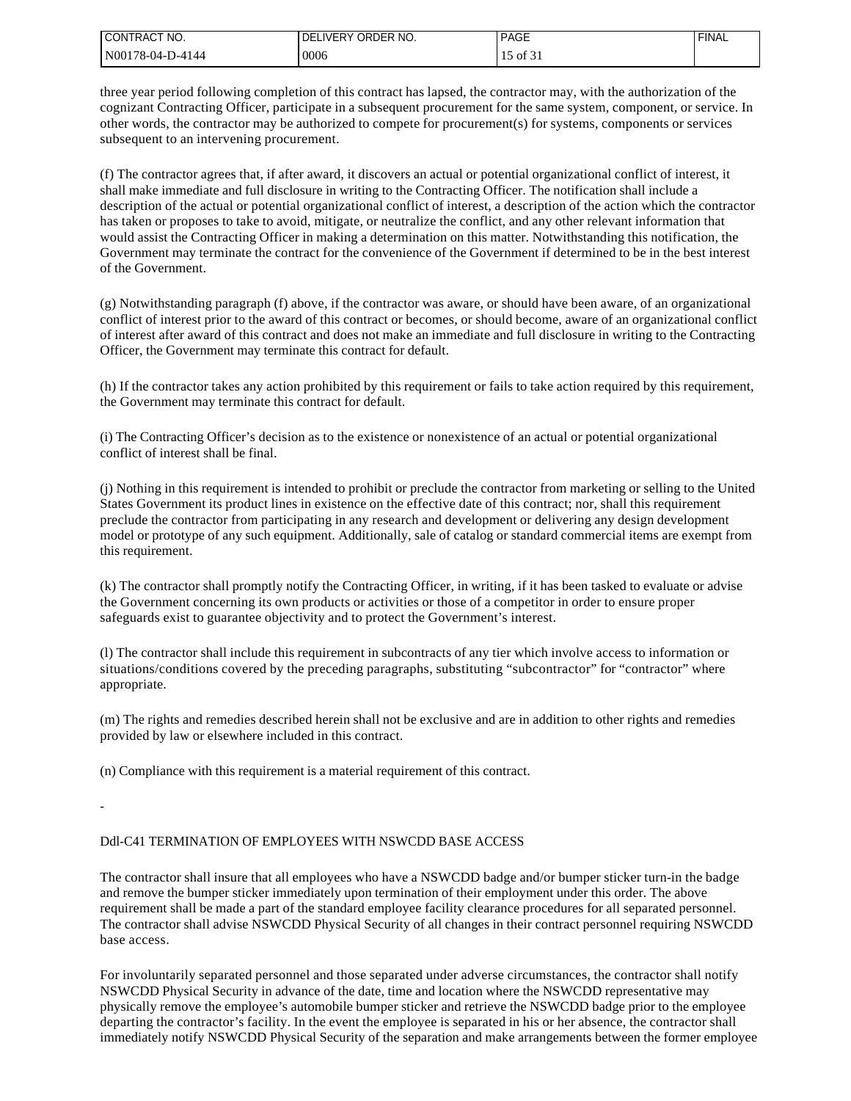| I CONTRACT NO.   | IVERY ORDER NO.<br>DE | <b>PAGE</b>         | <b>FINAL</b> |
|------------------|-----------------------|---------------------|--------------|
| N00178-04-D-4144 | 0006                  | $\sim$ 01 כי $\sim$ |              |

three year period following completion of this contract has lapsed, the contractor may, with the authorization of the cognizant Contracting Officer, participate in a subsequent procurement for the same system, component, or service. In other words, the contractor may be authorized to compete for procurement(s) for systems, components or services subsequent to an intervening procurement.

(f) The contractor agrees that, if after award, it discovers an actual or potential organizational conflict of interest, it shall make immediate and full disclosure in writing to the Contracting Officer. The notification shall include a description of the actual or potential organizational conflict of interest, a description of the action which the contractor has taken or proposes to take to avoid, mitigate, or neutralize the conflict, and any other relevant information that would assist the Contracting Officer in making a determination on this matter. Notwithstanding this notification, the Government may terminate the contract for the convenience of the Government if determined to be in the best interest of the Government.

(g) Notwithstanding paragraph (f) above, if the contractor was aware, or should have been aware, of an organizational conflict of interest prior to the award of this contract or becomes, or should become, aware of an organizational conflict of interest after award of this contract and does not make an immediate and full disclosure in writing to the Contracting Officer, the Government may terminate this contract for default.

(h) If the contractor takes any action prohibited by this requirement or fails to take action required by this requirement, the Government may terminate this contract for default.

(i) The Contracting Officer's decision as to the existence or nonexistence of an actual or potential organizational conflict of interest shall be final.

(j) Nothing in this requirement is intended to prohibit or preclude the contractor from marketing or selling to the United States Government its product lines in existence on the effective date of this contract; nor, shall this requirement preclude the contractor from participating in any research and development or delivering any design development model or prototype of any such equipment. Additionally, sale of catalog or standard commercial items are exempt from this requirement.

(k) The contractor shall promptly notify the Contracting Officer, in writing, if it has been tasked to evaluate or advise the Government concerning its own products or activities or those of a competitor in order to ensure proper safeguards exist to guarantee objectivity and to protect the Government's interest.

(l) The contractor shall include this requirement in subcontracts of any tier which involve access to information or situations/conditions covered by the preceding paragraphs, substituting "subcontractor" for "contractor" where appropriate.

(m) The rights and remedies described herein shall not be exclusive and are in addition to other rights and remedies provided by law or elsewhere included in this contract.

(n) Compliance with this requirement is a material requirement of this contract.

-

# Ddl-C41 TERMINATION OF EMPLOYEES WITH NSWCDD BASE ACCESS

The contractor shall insure that all employees who have a NSWCDD badge and/or bumper sticker turn-in the badge and remove the bumper sticker immediately upon termination of their employment under this order. The above requirement shall be made a part of the standard employee facility clearance procedures for all separated personnel. The contractor shall advise NSWCDD Physical Security of all changes in their contract personnel requiring NSWCDD base access.

For involuntarily separated personnel and those separated under adverse circumstances, the contractor shall notify NSWCDD Physical Security in advance of the date, time and location where the NSWCDD representative may physically remove the employee's automobile bumper sticker and retrieve the NSWCDD badge prior to the employee departing the contractor's facility. In the event the employee is separated in his or her absence, the contractor shall immediately notify NSWCDD Physical Security of the separation and make arrangements between the former employee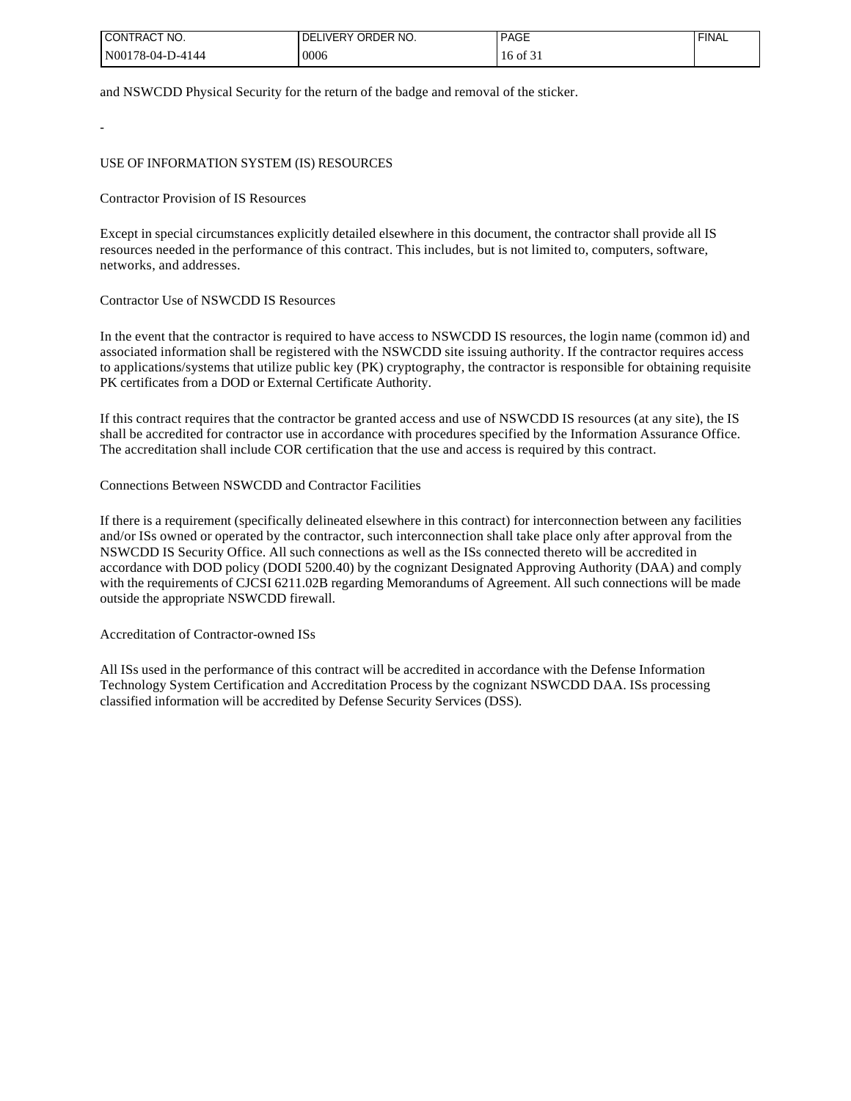| <b>I CONTRACT NO.</b> | I DELIVERY ORDER NO. | <b>PAGE</b>  | <b>FINAL</b> |
|-----------------------|----------------------|--------------|--------------|
| N00178-04-D-4144      | 0006                 | $16$ of $31$ |              |

and NSWCDD Physical Security for the return of the badge and removal of the sticker.

USE OF INFORMATION SYSTEM (IS) RESOURCES

Contractor Provision of IS Resources

-

Except in special circumstances explicitly detailed elsewhere in this document, the contractor shall provide all IS resources needed in the performance of this contract. This includes, but is not limited to, computers, software, networks, and addresses.

#### Contractor Use of NSWCDD IS Resources

In the event that the contractor is required to have access to NSWCDD IS resources, the login name (common id) and associated information shall be registered with the NSWCDD site issuing authority. If the contractor requires access to applications/systems that utilize public key (PK) cryptography, the contractor is responsible for obtaining requisite PK certificates from a DOD or External Certificate Authority.

If this contract requires that the contractor be granted access and use of NSWCDD IS resources (at any site), the IS shall be accredited for contractor use in accordance with procedures specified by the Information Assurance Office. The accreditation shall include COR certification that the use and access is required by this contract.

# Connections Between NSWCDD and Contractor Facilities

If there is a requirement (specifically delineated elsewhere in this contract) for interconnection between any facilities and/or ISs owned or operated by the contractor, such interconnection shall take place only after approval from the NSWCDD IS Security Office. All such connections as well as the ISs connected thereto will be accredited in accordance with DOD policy (DODI 5200.40) by the cognizant Designated Approving Authority (DAA) and comply with the requirements of CJCSI 6211.02B regarding Memorandums of Agreement. All such connections will be made outside the appropriate NSWCDD firewall.

Accreditation of Contractor-owned ISs

All ISs used in the performance of this contract will be accredited in accordance with the Defense Information Technology System Certification and Accreditation Process by the cognizant NSWCDD DAA. ISs processing classified information will be accredited by Defense Security Services (DSS).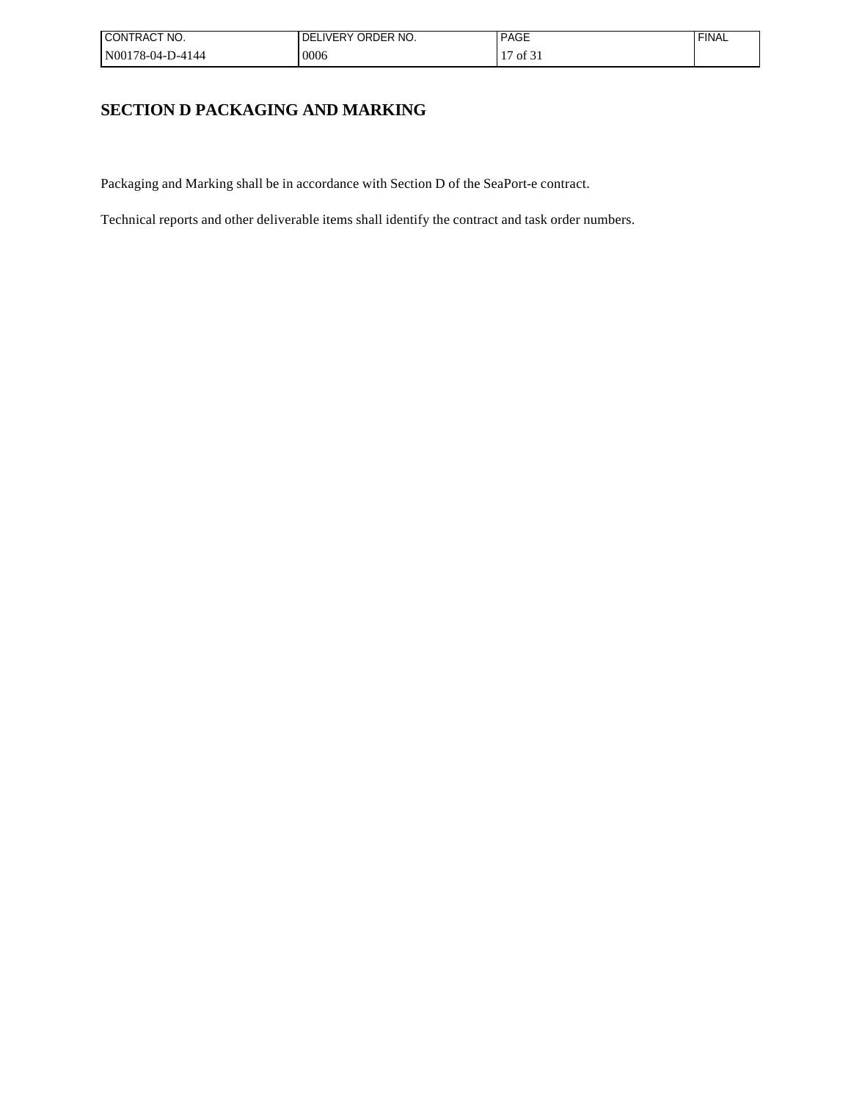| I CONTRACT NO.   | ! DELIVERY ORDER NO. | <b>PAGE</b>                         | <b>FINAL</b> |
|------------------|----------------------|-------------------------------------|--------------|
| N00178-04-D-4144 | 0006                 | of $31$<br>$\overline{\phantom{0}}$ |              |

# **SECTION D PACKAGING AND MARKING**

Packaging and Marking shall be in accordance with Section D of the SeaPort-e contract.

Technical reports and other deliverable items shall identify the contract and task order numbers.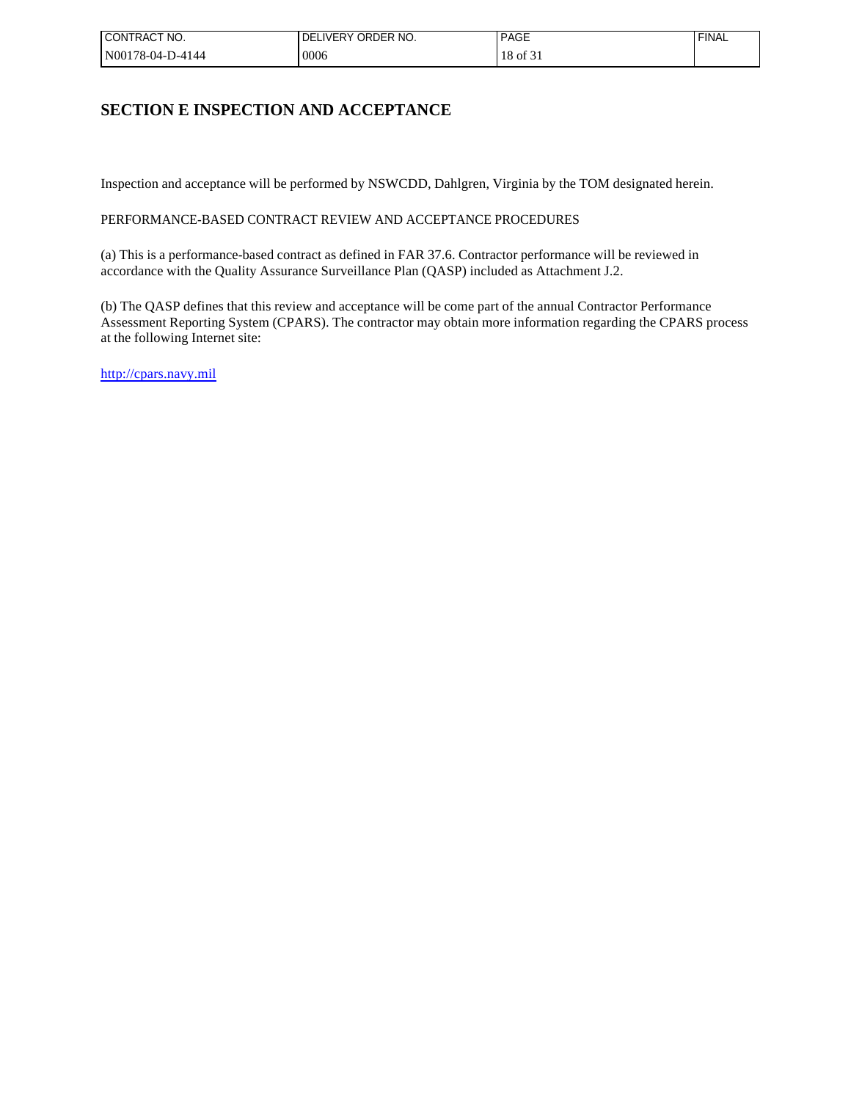| ' CONTRACT NO.   | ! DELIVERY ORDER NO. | <b>PAGE</b>                                   | <b>FINAL</b> |
|------------------|----------------------|-----------------------------------------------|--------------|
| N00178-04-D-4144 | 0006                 | $\sim$ $\sim$<br>18<br>$\cdot$ × of $\circ$ . |              |

# **SECTION E INSPECTION AND ACCEPTANCE**

Inspection and acceptance will be performed by NSWCDD, Dahlgren, Virginia by the TOM designated herein.

# PERFORMANCE-BASED CONTRACT REVIEW AND ACCEPTANCE PROCEDURES

(a) This is a performance-based contract as defined in FAR 37.6. Contractor performance will be reviewed in accordance with the Quality Assurance Surveillance Plan (QASP) included as Attachment J.2.

(b) The QASP defines that this review and acceptance will be come part of the annual Contractor Performance Assessment Reporting System (CPARS). The contractor may obtain more information regarding the CPARS process at the following Internet site:

[http://cpars.navy.mil](http://cpars.navy.mil/)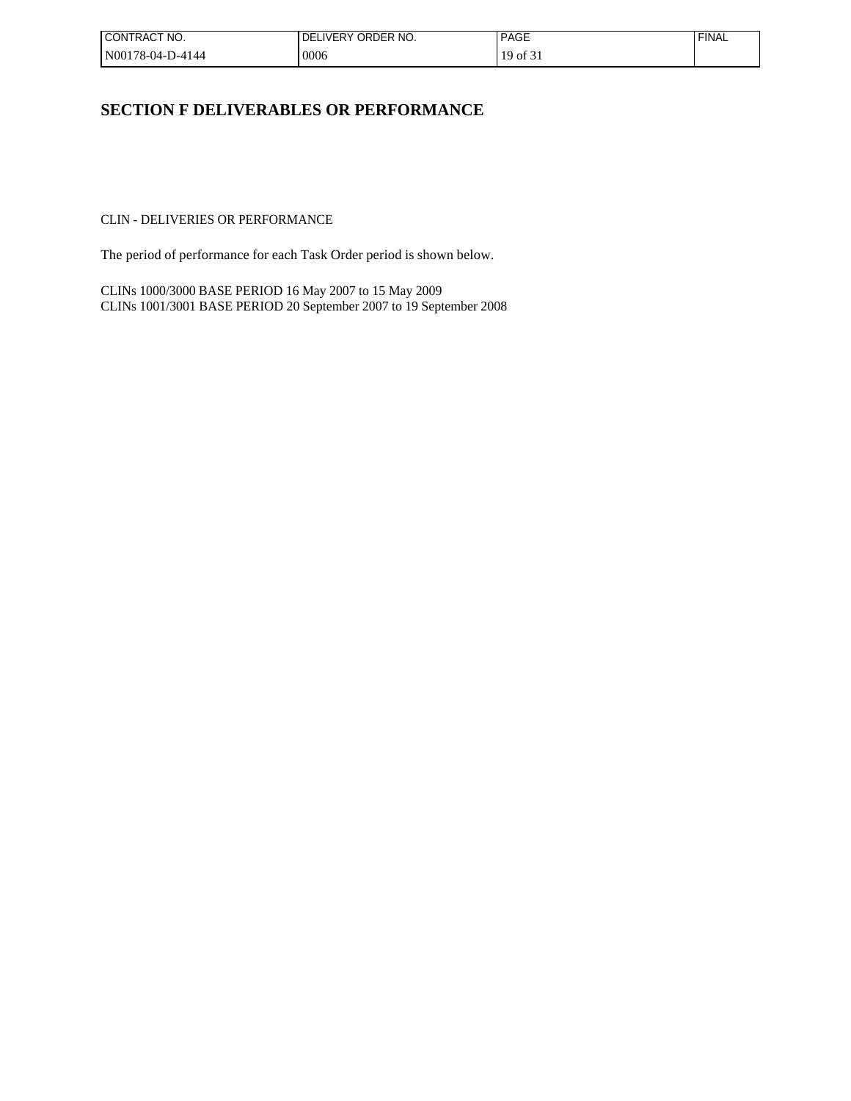| I CONTRACT NO.   | ! DELIVERY ORDER NO. | <b>PAGE</b>    | <b>FINAL</b> |
|------------------|----------------------|----------------|--------------|
| N00178-04-D-4144 | 0006                 | of $3i$<br>1Q. |              |

# **SECTION F DELIVERABLES OR PERFORMANCE**

CLIN - DELIVERIES OR PERFORMANCE

The period of performance for each Task Order period is shown below.

CLINs 1000/3000 BASE PERIOD 16 May 2007 to 15 May 2009 CLINs 1001/3001 BASE PERIOD 20 September 2007 to 19 September 2008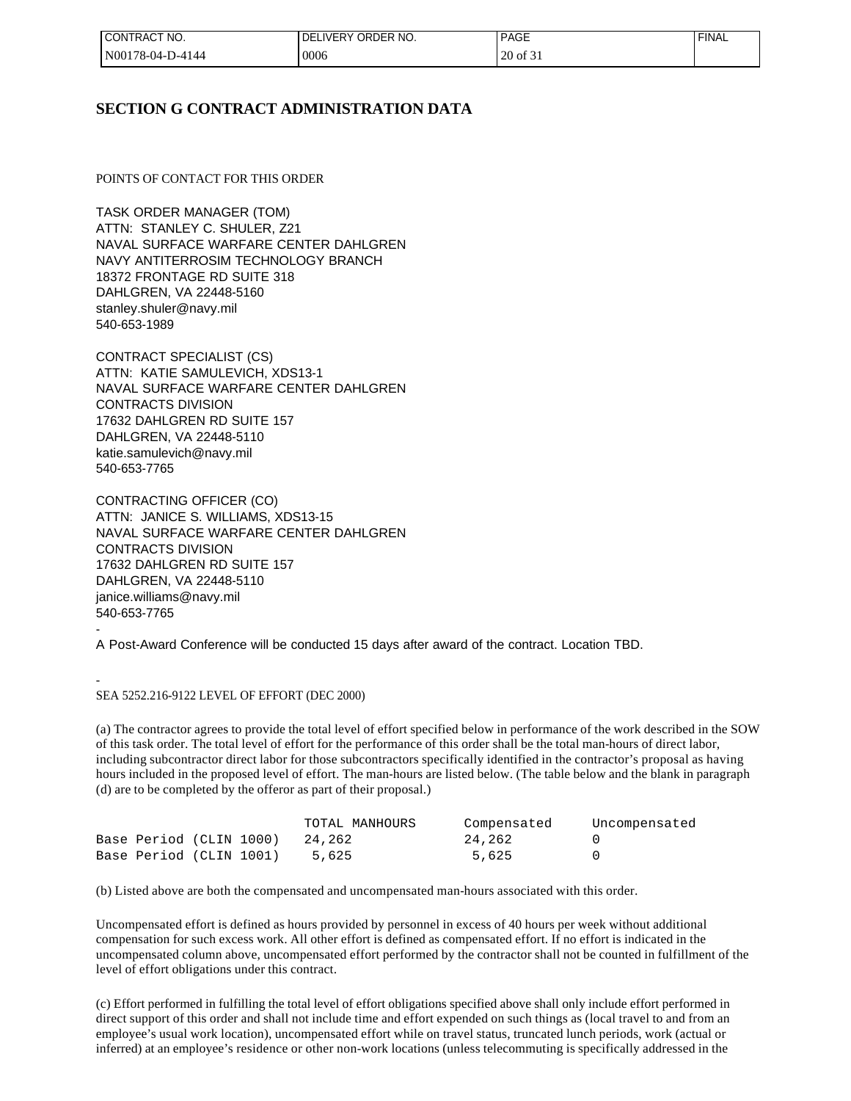| CONTRACT NO.       | 'DELIVERY ORDER NO. | <b>PAGE</b>         | <b>FINAL</b> |
|--------------------|---------------------|---------------------|--------------|
| $N00178-04-D-4144$ | 0006                | $20 \text{ of } 31$ |              |

# **SECTION G CONTRACT ADMINISTRATION DATA**

POINTS OF CONTACT FOR THIS ORDER

TASK ORDER MANAGER (TOM) ATTN: STANLEY C. SHULER, Z21 NAVAL SURFACE WARFARE CENTER DAHLGREN NAVY ANTITERROSIM TECHNOLOGY BRANCH 18372 FRONTAGE RD SUITE 318 DAHLGREN, VA 22448-5160 stanley.shuler@navy.mil 540-653-1989

CONTRACT SPECIALIST (CS) ATTN: KATIE SAMULEVICH, XDS13-1 NAVAL SURFACE WARFARE CENTER DAHLGREN CONTRACTS DIVISION 17632 DAHLGREN RD SUITE 157 DAHLGREN, VA 22448-5110 katie.samulevich@navy.mil 540-653-7765

CONTRACTING OFFICER (CO) ATTN: JANICE S. WILLIAMS, XDS13-15 NAVAL SURFACE WARFARE CENTER DAHLGREN CONTRACTS DIVISION 17632 DAHLGREN RD SUITE 157 DAHLGREN, VA 22448-5110 janice.williams@navy.mil 540-653-7765 -

A Post-Award Conference will be conducted 15 days after award of the contract. Location TBD.

- SEA 5252.216-9122 LEVEL OF EFFORT (DEC 2000)

(a) The contractor agrees to provide the total level of effort specified below in performance of the work described in the SOW of this task order. The total level of effort for the performance of this order shall be the total man-hours of direct labor, including subcontractor direct labor for those subcontractors specifically identified in the contractor's proposal as having hours included in the proposed level of effort. The man-hours are listed below. (The table below and the blank in paragraph (d) are to be completed by the offeror as part of their proposal.)

|                         |  | TOTAL MANHOURS | Compensated | Uncompensated |
|-------------------------|--|----------------|-------------|---------------|
| Base Period (CLIN 1000) |  | 24,262         | 24,262      |               |
| Base Period (CLIN 1001) |  | 5,625          | 5,625       |               |

(b) Listed above are both the compensated and uncompensated man-hours associated with this order.

Uncompensated effort is defined as hours provided by personnel in excess of 40 hours per week without additional compensation for such excess work. All other effort is defined as compensated effort. If no effort is indicated in the uncompensated column above, uncompensated effort performed by the contractor shall not be counted in fulfillment of the level of effort obligations under this contract.

(c) Effort performed in fulfilling the total level of effort obligations specified above shall only include effort performed in direct support of this order and shall not include time and effort expended on such things as (local travel to and from an employee's usual work location), uncompensated effort while on travel status, truncated lunch periods, work (actual or inferred) at an employee's residence or other non-work locations (unless telecommuting is specifically addressed in the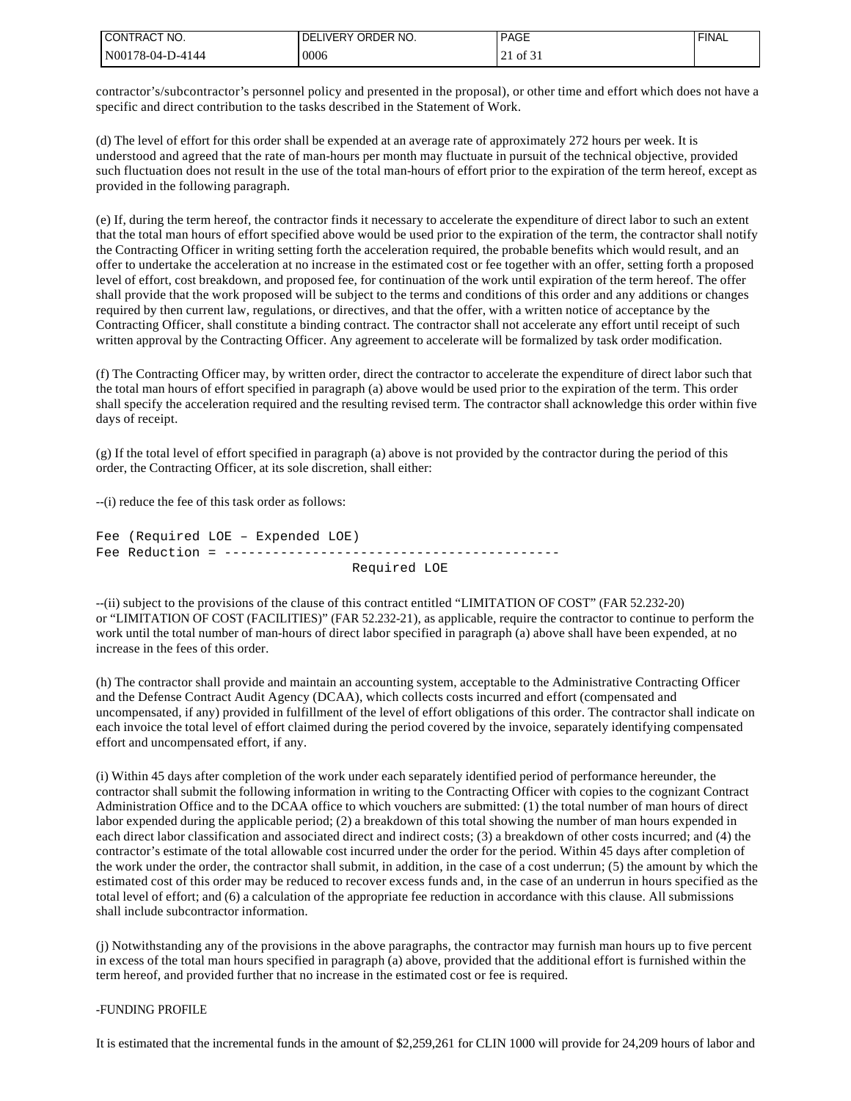| CT NO.<br>'CONTRAC       | ORDER NO.<br>DE.<br>. IVFRY | $\sim$<br>DAG.<br>בטרי | <b>FINAL</b> |
|--------------------------|-----------------------------|------------------------|--------------|
| $'N00178-04-L$<br>D-4144 | 0006                        | ОI<br>، ب              |              |

contractor's/subcontractor's personnel policy and presented in the proposal), or other time and effort which does not have a specific and direct contribution to the tasks described in the Statement of Work.

(d) The level of effort for this order shall be expended at an average rate of approximately 272 hours per week. It is understood and agreed that the rate of man-hours per month may fluctuate in pursuit of the technical objective, provided such fluctuation does not result in the use of the total man-hours of effort prior to the expiration of the term hereof, except as provided in the following paragraph.

(e) If, during the term hereof, the contractor finds it necessary to accelerate the expenditure of direct labor to such an extent that the total man hours of effort specified above would be used prior to the expiration of the term, the contractor shall notify the Contracting Officer in writing setting forth the acceleration required, the probable benefits which would result, and an offer to undertake the acceleration at no increase in the estimated cost or fee together with an offer, setting forth a proposed level of effort, cost breakdown, and proposed fee, for continuation of the work until expiration of the term hereof. The offer shall provide that the work proposed will be subject to the terms and conditions of this order and any additions or changes required by then current law, regulations, or directives, and that the offer, with a written notice of acceptance by the Contracting Officer, shall constitute a binding contract. The contractor shall not accelerate any effort until receipt of such written approval by the Contracting Officer. Any agreement to accelerate will be formalized by task order modification.

(f) The Contracting Officer may, by written order, direct the contractor to accelerate the expenditure of direct labor such that the total man hours of effort specified in paragraph (a) above would be used prior to the expiration of the term. This order shall specify the acceleration required and the resulting revised term. The contractor shall acknowledge this order within five days of receipt.

(g) If the total level of effort specified in paragraph (a) above is not provided by the contractor during the period of this order, the Contracting Officer, at its sole discretion, shall either:

--(i) reduce the fee of this task order as follows:

Fee (Required LOE – Expended LOE) Fee Reduction = ------------------------------------------ Required LOE

--(ii) subject to the provisions of the clause of this contract entitled "LIMITATION OF COST" (FAR 52.232-20) or "LIMITATION OF COST (FACILITIES)" (FAR 52.232-21), as applicable, require the contractor to continue to perform the work until the total number of man-hours of direct labor specified in paragraph (a) above shall have been expended, at no increase in the fees of this order.

(h) The contractor shall provide and maintain an accounting system, acceptable to the Administrative Contracting Officer and the Defense Contract Audit Agency (DCAA), which collects costs incurred and effort (compensated and uncompensated, if any) provided in fulfillment of the level of effort obligations of this order. The contractor shall indicate on each invoice the total level of effort claimed during the period covered by the invoice, separately identifying compensated effort and uncompensated effort, if any.

(i) Within 45 days after completion of the work under each separately identified period of performance hereunder, the contractor shall submit the following information in writing to the Contracting Officer with copies to the cognizant Contract Administration Office and to the DCAA office to which vouchers are submitted: (1) the total number of man hours of direct labor expended during the applicable period; (2) a breakdown of this total showing the number of man hours expended in each direct labor classification and associated direct and indirect costs; (3) a breakdown of other costs incurred; and (4) the contractor's estimate of the total allowable cost incurred under the order for the period. Within 45 days after completion of the work under the order, the contractor shall submit, in addition, in the case of a cost underrun; (5) the amount by which the estimated cost of this order may be reduced to recover excess funds and, in the case of an underrun in hours specified as the total level of effort; and (6) a calculation of the appropriate fee reduction in accordance with this clause. All submissions shall include subcontractor information.

(j) Notwithstanding any of the provisions in the above paragraphs, the contractor may furnish man hours up to five percent in excess of the total man hours specified in paragraph (a) above, provided that the additional effort is furnished within the term hereof, and provided further that no increase in the estimated cost or fee is required.

#### -FUNDING PROFILE

It is estimated that the incremental funds in the amount of \$2,259,261 for CLIN 1000 will provide for 24,209 hours of labor and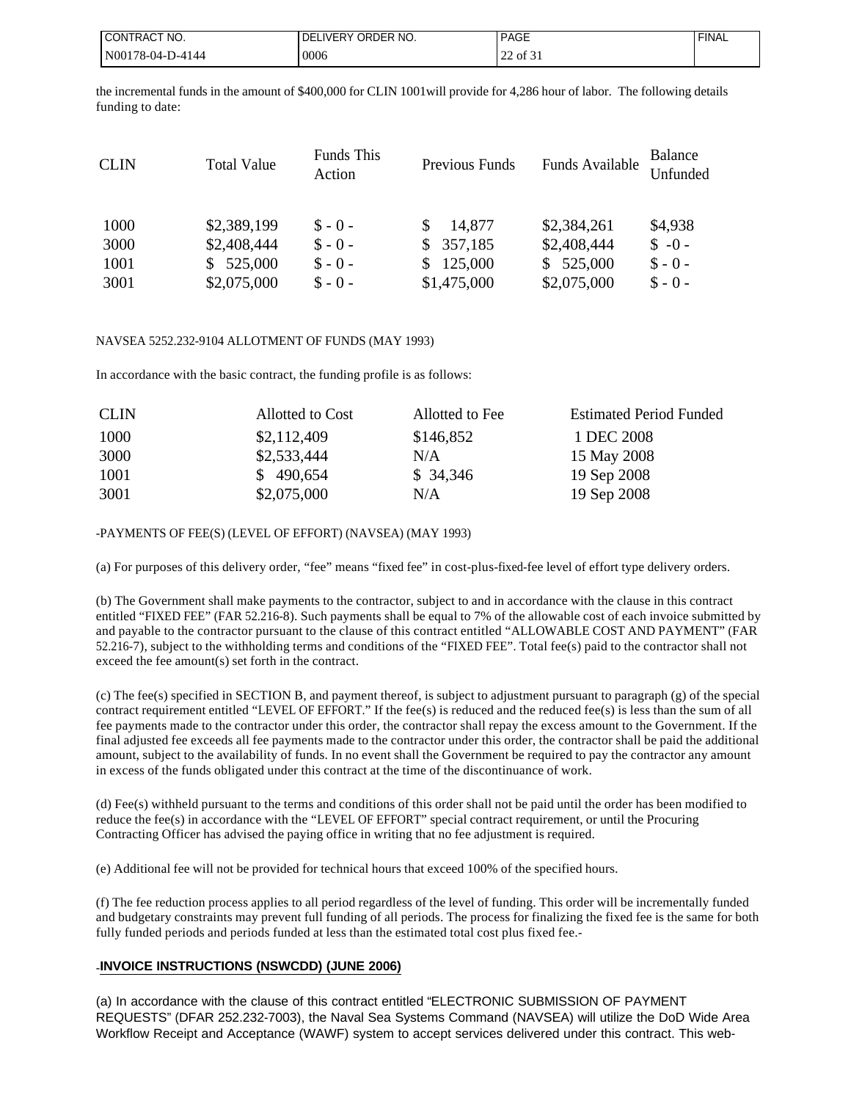| I CONTRACT NO.    | I DELIVERY ORDER NO. | <b>PAGE</b>                         | <b>FINAL</b> |
|-------------------|----------------------|-------------------------------------|--------------|
| IN00178-04-D-4144 | 0006                 | $\sim$ $\sim$<br>$\sim$ 0.01 $\sim$ |              |

the incremental funds in the amount of \$400,000 for CLIN 1001will provide for 4,286 hour of labor. The following details funding to date:

| Funds This<br><b>CLIN</b><br><b>Total Value</b><br>Previous Funds<br>Action | Funds Available | Balance<br>Unfunded |
|-----------------------------------------------------------------------------|-----------------|---------------------|
| \$2,389,199<br>1000<br>14,877<br>$$ - 0 -$                                  | \$2,384,261     | \$4,938             |
| \$357,185<br>\$2,408,444<br>$S - 0 -$<br>3000                               | \$2,408,444     | $S - 0 -$           |
| \$525,000<br>\$125,000<br>$S - 0 -$<br>1001                                 | 525,000<br>SS.  | $$ -0 -$            |
| \$1,475,000<br>\$2,075,000<br>$$ - 0 -$<br>3001                             | \$2,075,000     | $S - 0 -$           |

#### NAVSEA 5252.232-9104 ALLOTMENT OF FUNDS (MAY 1993)

In accordance with the basic contract, the funding profile is as follows:

| <b>CLIN</b> | Allotted to Cost | Allotted to Fee | <b>Estimated Period Funded</b> |
|-------------|------------------|-----------------|--------------------------------|
| 1000        | \$2,112,409      | \$146,852       | 1 DEC 2008                     |
| 3000        | \$2,533,444      | N/A             | 15 May 2008                    |
| 1001        | \$490,654        | \$34,346        | 19 Sep 2008                    |
| 3001        | \$2,075,000      | N/A             | 19 Sep 2008                    |

#### -PAYMENTS OF FEE(S) (LEVEL OF EFFORT) (NAVSEA) (MAY 1993)

(a) For purposes of this delivery order, "fee" means "fixed fee" in cost-plus-fixed-fee level of effort type delivery orders.

(b) The Government shall make payments to the contractor, subject to and in accordance with the clause in this contract entitled "FIXED FEE" (FAR 52.216-8). Such payments shall be equal to 7% of the allowable cost of each invoice submitted by and payable to the contractor pursuant to the clause of this contract entitled "ALLOWABLE COST AND PAYMENT" (FAR 52.216-7), subject to the withholding terms and conditions of the "FIXED FEE". Total fee(s) paid to the contractor shall not exceed the fee amount(s) set forth in the contract.

(c) The fee(s) specified in SECTION B, and payment thereof, is subject to adjustment pursuant to paragraph (g) of the special contract requirement entitled "LEVEL OF EFFORT." If the fee(s) is reduced and the reduced fee(s) is less than the sum of all fee payments made to the contractor under this order, the contractor shall repay the excess amount to the Government. If the final adjusted fee exceeds all fee payments made to the contractor under this order, the contractor shall be paid the additional amount, subject to the availability of funds. In no event shall the Government be required to pay the contractor any amount in excess of the funds obligated under this contract at the time of the discontinuance of work.

(d) Fee(s) withheld pursuant to the terms and conditions of this order shall not be paid until the order has been modified to reduce the fee(s) in accordance with the "LEVEL OF EFFORT" special contract requirement, or until the Procuring Contracting Officer has advised the paying office in writing that no fee adjustment is required.

(e) Additional fee will not be provided for technical hours that exceed 100% of the specified hours.

(f) The fee reduction process applies to all period regardless of the level of funding. This order will be incrementally funded and budgetary constraints may prevent full funding of all periods. The process for finalizing the fixed fee is the same for both fully funded periods and periods funded at less than the estimated total cost plus fixed fee.-

# -**INVOICE INSTRUCTIONS (NSWCDD) (JUNE 2006)**

(a) In accordance with the clause of this contract entitled "ELECTRONIC SUBMISSION OF PAYMENT REQUESTS" (DFAR 252.232-7003), the Naval Sea Systems Command (NAVSEA) will utilize the DoD Wide Area Workflow Receipt and Acceptance (WAWF) system to accept services delivered under this contract. This web-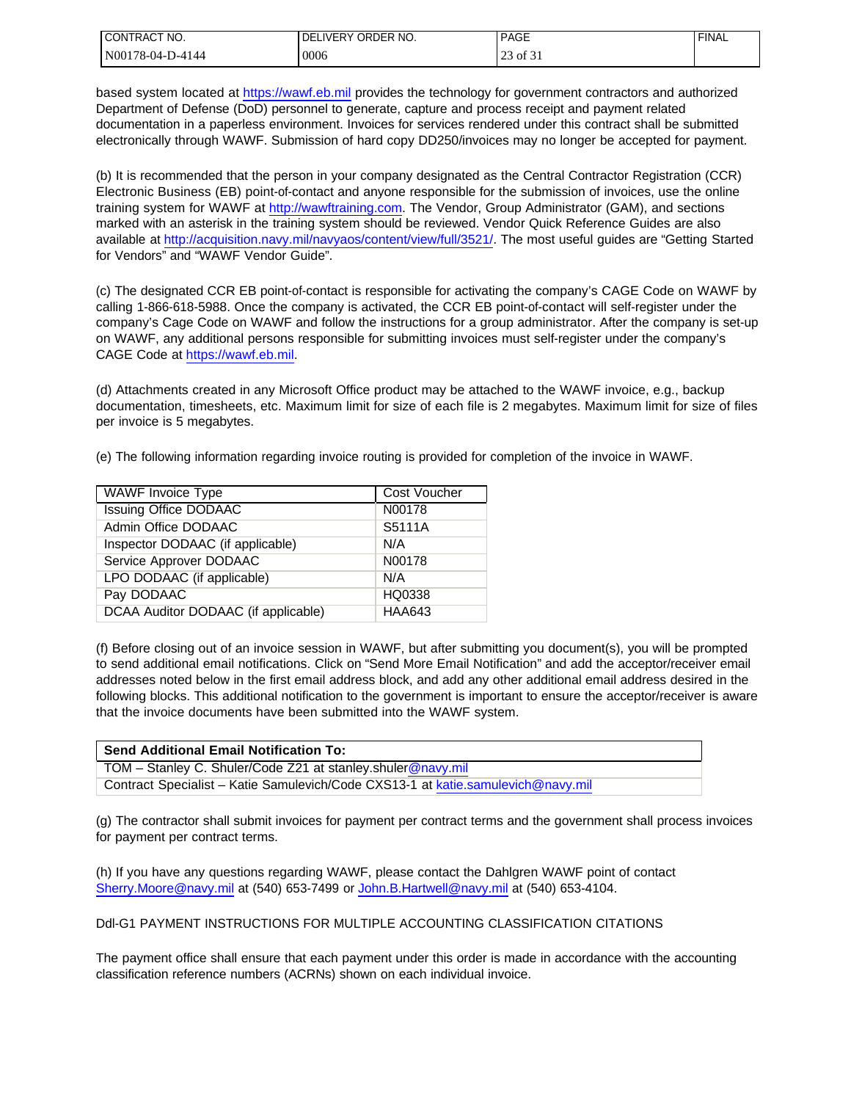| <b>I CONTRACT NO.</b> | I DELIVERY ORDER NO. | <b>PAGE</b> | <b>FINAL</b> |
|-----------------------|----------------------|-------------|--------------|
| N00178-04-D-4144      | 0006                 | 25 of 51    |              |

based system located at [https://wawf.eb.mil](https://wawf.eb.mil/) provides the technology for government contractors and authorized Department of Defense (DoD) personnel to generate, capture and process receipt and payment related documentation in a paperless environment. Invoices for services rendered under this contract shall be submitted electronically through WAWF. Submission of hard copy DD250/invoices may no longer be accepted for payment.

(b) It is recommended that the person in your company designated as the Central Contractor Registration (CCR) Electronic Business (EB) point-of-contact and anyone responsible for the submission of invoices, use the online training system for WAWF at [http://wawftraining.com](http://wawftraining.com/). The Vendor, Group Administrator (GAM), and sections marked with an asterisk in the training system should be reviewed. Vendor Quick Reference Guides are also available at [http://acquisition.navy.mil/navyaos/content/view/full/3521/.](http://acquisition.navy.mil/navyaos/content/view/full/3521/) The most useful guides are "Getting Started for Vendors" and "WAWF Vendor Guide".

(c) The designated CCR EB point-of-contact is responsible for activating the company's CAGE Code on WAWF by calling 1-866-618-5988. Once the company is activated, the CCR EB point-of-contact will self-register under the company's Cage Code on WAWF and follow the instructions for a group administrator. After the company is set-up on WAWF, any additional persons responsible for submitting invoices must self-register under the company's CAGE Code at [https://wawf.eb.mil.](https://wawf.eb.mil/)

(d) Attachments created in any Microsoft Office product may be attached to the WAWF invoice, e.g., backup documentation, timesheets, etc. Maximum limit for size of each file is 2 megabytes. Maximum limit for size of files per invoice is 5 megabytes.

(e) The following information regarding invoice routing is provided for completion of the invoice in WAWF.

| WAWF Invoice Type                   | Cost Voucher  |
|-------------------------------------|---------------|
| <b>Issuing Office DODAAC</b>        | N00178        |
| Admin Office DODAAC                 | S5111A        |
| Inspector DODAAC (if applicable)    | N/A           |
| Service Approver DODAAC             | N00178        |
| LPO DODAAC (if applicable)          | N/A           |
| Pay DODAAC                          | HQ0338        |
| DCAA Auditor DODAAC (if applicable) | <b>HAA643</b> |

(f) Before closing out of an invoice session in WAWF, but after submitting you document(s), you will be prompted to send additional email notifications. Click on "Send More Email Notification" and add the acceptor/receiver email addresses noted below in the first email address block, and add any other additional email address desired in the following blocks. This additional notification to the government is important to ensure the acceptor/receiver is aware that the invoice documents have been submitted into the WAWF system.

| <b>Send Additional Email Notification To:</b>                                    |
|----------------------------------------------------------------------------------|
| TOM - Stanley C. Shuler/Code Z21 at stanley.shuler@navy.mil                      |
| Contract Specialist – Katie Samulevich/Code CXS13-1 at katie.samulevich@navy.mil |

(g) The contractor shall submit invoices for payment per contract terms and the government shall process invoices for payment per contract terms.

(h) If you have any questions regarding WAWF, please contact the Dahlgren WAWF point of contact [Sherry.Moore@navy.mil](mailto:Sherry.Moore@navy.mil) at (540) 653-7499 or [John.B.Hartwell@navy.mil](mailto:John.B.Hartwell@navy.mil) at (540) 653-4104.

Ddl-G1 PAYMENT INSTRUCTIONS FOR MULTIPLE ACCOUNTING CLASSIFICATION CITATIONS

The payment office shall ensure that each payment under this order is made in accordance with the accounting classification reference numbers (ACRNs) shown on each individual invoice.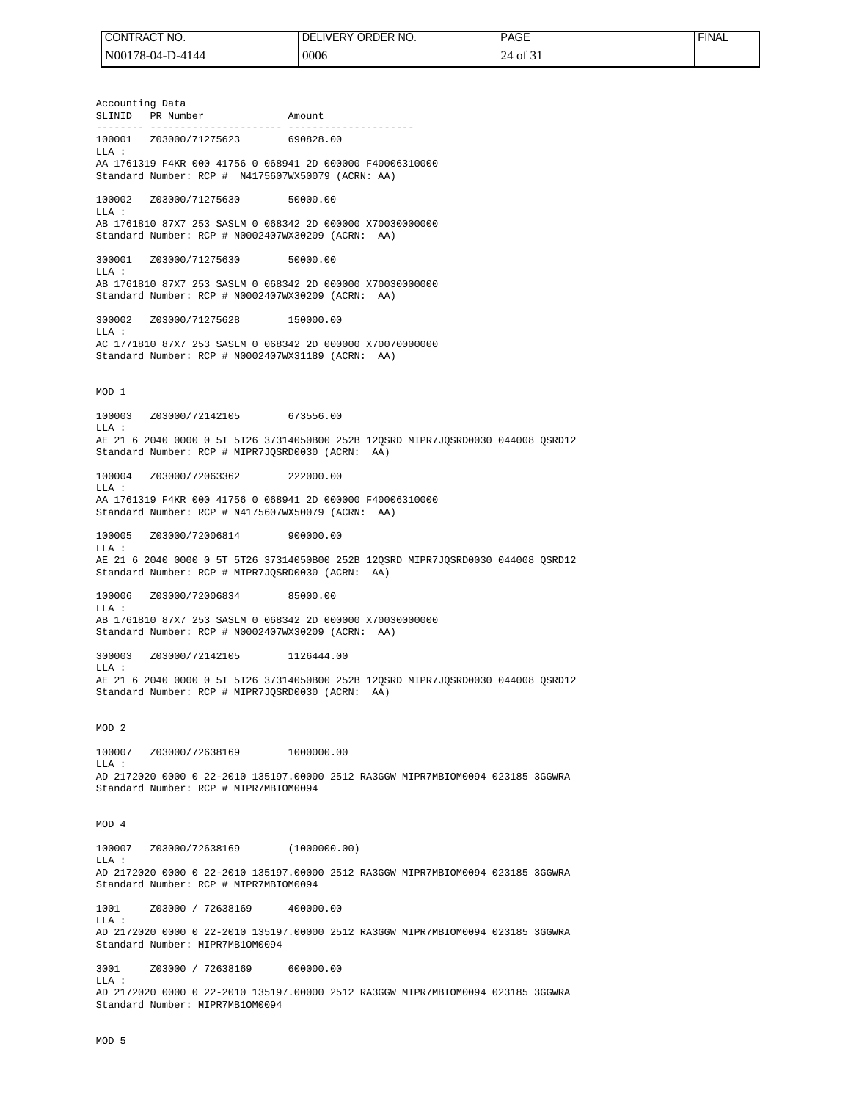| I CONTRACT NO.   | I DELIVERY ORDER NO. | <b>PAGE</b> | 'FINAL |
|------------------|----------------------|-------------|--------|
| N00178-04-D-4144 | 0006                 | 24 of 3     |        |

Accounting Data SLINID PR Number Amount -------- ---------------------- --------------------- 100001 Z03000/71275623 690828.00 LLA : AA 1761319 F4KR 000 41756 0 068941 2D 000000 F40006310000 Standard Number: RCP # N4175607WX50079 (ACRN: AA) 100002 Z03000/71275630 50000.00  $T.T.A$  : AB 1761810 87X7 253 SASLM 0 068342 2D 000000 X70030000000 Standard Number: RCP # N0002407WX30209 (ACRN: AA) 300001 Z03000/71275630 50000.00  $_{\rm LLA}$  : AB 1761810 87X7 253 SASLM 0 068342 2D 000000 X70030000000 Standard Number: RCP # N0002407WX30209 (ACRN: AA) 300002 Z03000/71275628 150000.00 LLA : AC 1771810 87X7 253 SASLM 0 068342 2D 000000 X70070000000 Standard Number: RCP # N0002407WX31189 (ACRN: AA) MOD 1 100003 Z03000/72142105 673556.00 LLA : AE 21 6 2040 0000 0 5T 5T26 37314050B00 252B 12QSRD MIPR7JQSRD0030 044008 QSRD12 Standard Number: RCP # MIPR7JQSRD0030 (ACRN: AA) 100004 Z03000/72063362 222000.00 LLA : AA 1761319 F4KR 000 41756 0 068941 2D 000000 F40006310000 Standard Number: RCP # N4175607WX50079 (ACRN: AA) 100005 Z03000/72006814 900000.00  $T.T.A$  : AE 21 6 2040 0000 0 5T 5T26 37314050B00 252B 12QSRD MIPR7JQSRD0030 044008 QSRD12 Standard Number: RCP # MIPR7JQSRD0030 (ACRN: AA) 100006 Z03000/72006834 85000.00  $LLA$ AB 1761810 87X7 253 SASLM 0 068342 2D 000000 X70030000000 Standard Number: RCP # N0002407WX30209 (ACRN: AA) 300003 Z03000/72142105 1126444.00 LLA : AE 21 6 2040 0000 0 5T 5T26 37314050B00 252B 12QSRD MIPR7JQSRD0030 044008 QSRD12 Standard Number: RCP # MIPR7JQSRD0030 (ACRN: AA) MOD 2 100007 Z03000/72638169 1000000.00 LLA : AD 2172020 0000 0 22-2010 135197.00000 2512 RA3GGW MIPR7MBIOM0094 023185 3GGWRA Standard Number: RCP # MIPR7MBIOM0094 MOD 4 100007 Z03000/72638169 (1000000.00) LLA : AD 2172020 0000 0 22-2010 135197.00000 2512 RA3GGW MIPR7MBIOM0094 023185 3GGWRA Standard Number: RCP # MIPR7MBIOM0094 1001 Z03000 / 72638169 400000.00 LLA : AD 2172020 0000 0 22-2010 135197.00000 2512 RA3GGW MIPR7MBIOM0094 023185 3GGWRA Standard Number: MIPR7MB1OM0094 3001 Z03000 / 72638169 600000.00 LLA : AD 2172020 0000 0 22-2010 135197.00000 2512 RA3GGW MIPR7MBIOM0094 023185 3GGWRA

Standard Number: MIPR7MB1OM0094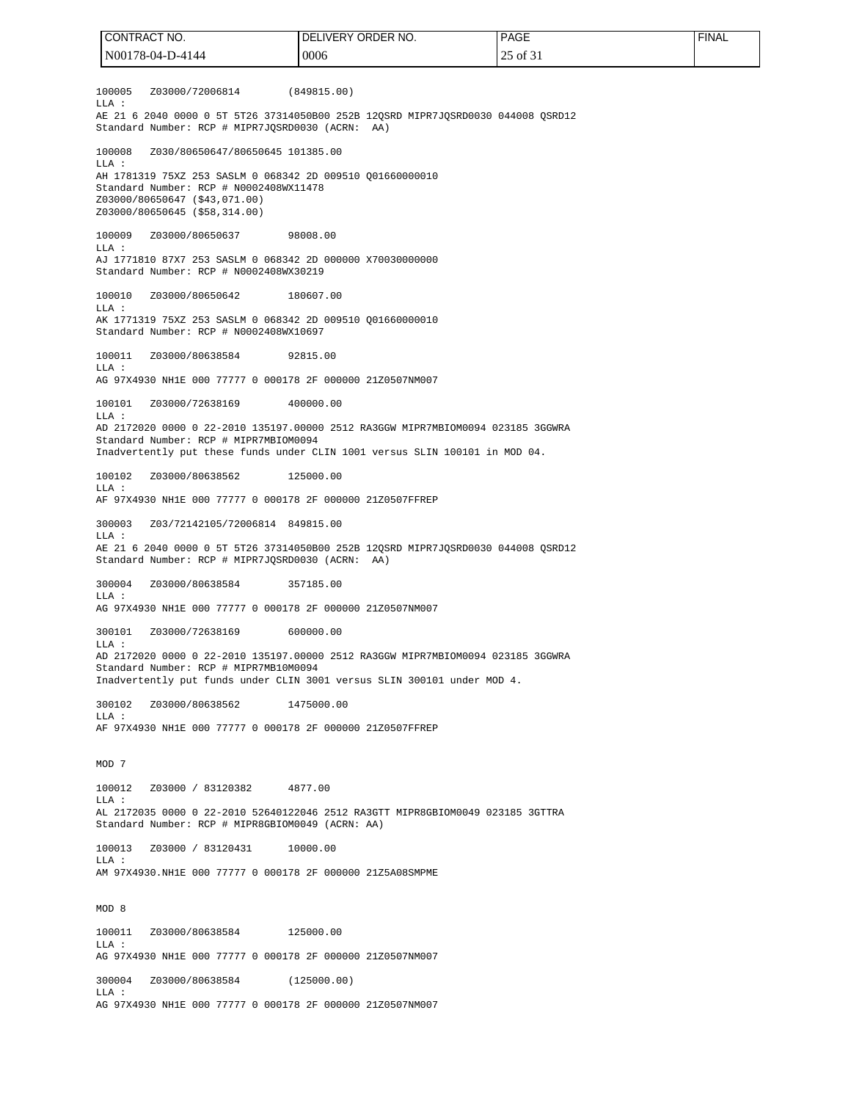100005 Z03000/72006814 (849815.00) LLA : AE 21 6 2040 0000 0 5T 5T26 37314050B00 252B 12QSRD MIPR7JQSRD0030 044008 QSRD12 Standard Number: RCP # MIPR7JQSRD0030 (ACRN: AA) 100008 Z030/80650647/80650645 101385.00 LLA : AH 1781319 75XZ 253 SASLM 0 068342 2D 009510 Q01660000010 Standard Number: RCP # N0002408WX11478 Z03000/80650647 (\$43,071.00) Z03000/80650645 (\$58,314.00) 100009 Z03000/80650637 98008.00 LLA : AJ 1771810 87X7 253 SASLM 0 068342 2D 000000 X70030000000 Standard Number: RCP # N0002408WX30219 100010 Z03000/80650642 180607.00 LLA : AK 1771319 75XZ 253 SASLM 0 068342 2D 009510 Q01660000010 Standard Number: RCP # N0002408WX10697 100011 Z03000/80638584 92815.00 LLA : AG 97X4930 NH1E 000 77777 0 000178 2F 000000 21Z0507NM007 100101 Z03000/72638169 400000.00 LLA : AD 2172020 0000 0 22-2010 135197.00000 2512 RA3GGW MIPR7MBIOM0094 023185 3GGWRA Standard Number: RCP # MIPR7MBIOM0094 Inadvertently put these funds under CLIN 1001 versus SLIN 100101 in MOD 04. 100102 Z03000/80638562 125000.00 LLA : AF 97X4930 NH1E 000 77777 0 000178 2F 000000 21Z0507FFREP 300003 Z03/72142105/72006814 849815.00 LLA : AE 21 6 2040 0000 0 5T 5T26 37314050B00 252B 12QSRD MIPR7JQSRD0030 044008 QSRD12 Standard Number: RCP # MIPR7JQSRD0030 (ACRN: AA) 300004 Z03000/80638584 357185.00  $T.T.A$  : AG 97X4930 NH1E 000 77777 0 000178 2F 000000 21Z0507NM007 300101 Z03000/72638169 600000.00 LLA : AD 2172020 0000 0 22-2010 135197.00000 2512 RA3GGW MIPR7MBIOM0094 023185 3GGWRA Standard Number: RCP # MIPR7MB10M0094 Inadvertently put funds under CLIN 3001 versus SLIN 300101 under MOD 4. 300102 Z03000/80638562 1475000.00 LLA : AF 97X4930 NH1E 000 77777 0 000178 2F 000000 21Z0507FFREP MOD 7 100012 Z03000 / 83120382 4877.00 LLA : AL 2172035 0000 0 22-2010 52640122046 2512 RA3GTT MIPR8GBIOM0049 023185 3GTTRA Standard Number: RCP # MIPR8GBIOM0049 (ACRN: AA) 100013 Z03000 / 83120431 10000.00 LLA : AM 97X4930.NH1E 000 77777 0 000178 2F 000000 21Z5A08SMPME MOD 8 100011 Z03000/80638584 125000.00 LLA : AG 97X4930 NH1E 000 77777 0 000178 2F 000000 21Z0507NM007 300004 Z03000/80638584 (125000.00)  $T.T.A$  : AG 97X4930 NH1E 000 77777 0 000178 2F 000000 21Z0507NM007 CONTRACT NO. N00178-04-D-4144 DELIVERY ORDER NO. 0006 PAGE 25 of 31 FINAL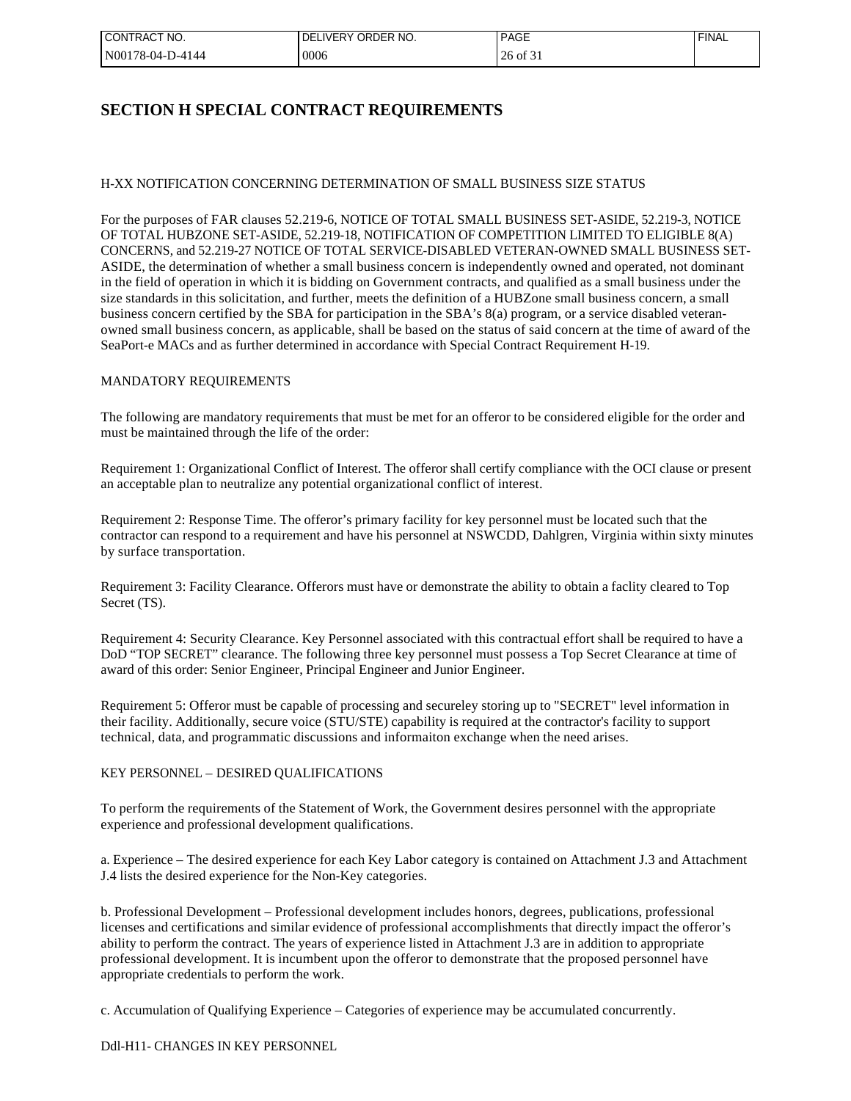| I CONTRACT NO.   | I DELIVERY ORDER NO. | <b>PAGE</b>              | ' FINAL |
|------------------|----------------------|--------------------------|---------|
| N00178-04-D-4144 | 0006                 | $\overline{01}$ 3.<br>źh |         |

# **SECTION H SPECIAL CONTRACT REQUIREMENTS**

# H-XX NOTIFICATION CONCERNING DETERMINATION OF SMALL BUSINESS SIZE STATUS

For the purposes of FAR clauses 52.219-6, NOTICE OF TOTAL SMALL BUSINESS SET-ASIDE, 52.219-3, NOTICE OF TOTAL HUBZONE SET-ASIDE, 52.219-18, NOTIFICATION OF COMPETITION LIMITED TO ELIGIBLE 8(A) CONCERNS, and 52.219-27 NOTICE OF TOTAL SERVICE-DISABLED VETERAN-OWNED SMALL BUSINESS SET-ASIDE, the determination of whether a small business concern is independently owned and operated, not dominant in the field of operation in which it is bidding on Government contracts, and qualified as a small business under the size standards in this solicitation, and further, meets the definition of a HUBZone small business concern, a small business concern certified by the SBA for participation in the SBA's 8(a) program, or a service disabled veteranowned small business concern, as applicable, shall be based on the status of said concern at the time of award of the SeaPort-e MACs and as further determined in accordance with Special Contract Requirement H-19.

#### MANDATORY REQUIREMENTS

The following are mandatory requirements that must be met for an offeror to be considered eligible for the order and must be maintained through the life of the order:

Requirement 1: Organizational Conflict of Interest. The offeror shall certify compliance with the OCI clause or present an acceptable plan to neutralize any potential organizational conflict of interest.

Requirement 2: Response Time. The offeror's primary facility for key personnel must be located such that the contractor can respond to a requirement and have his personnel at NSWCDD, Dahlgren, Virginia within sixty minutes by surface transportation.

Requirement 3: Facility Clearance. Offerors must have or demonstrate the ability to obtain a faclity cleared to Top Secret (TS).

Requirement 4: Security Clearance. Key Personnel associated with this contractual effort shall be required to have a DoD "TOP SECRET" clearance. The following three key personnel must possess a Top Secret Clearance at time of award of this order: Senior Engineer, Principal Engineer and Junior Engineer.

Requirement 5: Offeror must be capable of processing and secureley storing up to "SECRET" level information in their facility. Additionally, secure voice (STU/STE) capability is required at the contractor's facility to support technical, data, and programmatic discussions and informaiton exchange when the need arises.

#### KEY PERSONNEL – DESIRED QUALIFICATIONS

To perform the requirements of the Statement of Work, the Government desires personnel with the appropriate experience and professional development qualifications.

a. Experience – The desired experience for each Key Labor category is contained on Attachment J.3 and Attachment J.4 lists the desired experience for the Non-Key categories.

b. Professional Development – Professional development includes honors, degrees, publications, professional licenses and certifications and similar evidence of professional accomplishments that directly impact the offeror's ability to perform the contract. The years of experience listed in Attachment J.3 are in addition to appropriate professional development. It is incumbent upon the offeror to demonstrate that the proposed personnel have appropriate credentials to perform the work.

c. Accumulation of Qualifying Experience – Categories of experience may be accumulated concurrently.

Ddl-H11- CHANGES IN KEY PERSONNEL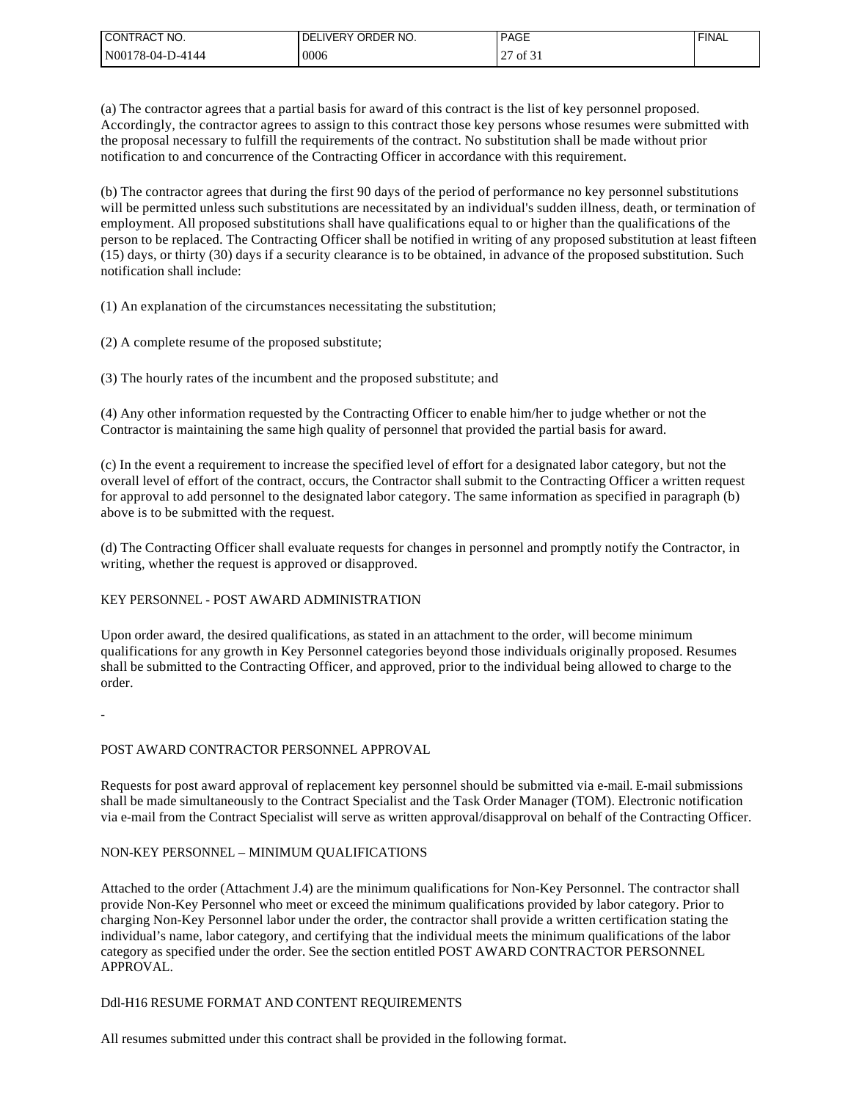| I CONTRACT NO.   | 'DELIVERY ORDER NO. | <b>PAGE</b>                           | <b>FINAL</b> |
|------------------|---------------------|---------------------------------------|--------------|
| N00178-04-D-4144 | 0006                | $\mathcal{L}$<br>$\cdot$ of $\circ$ . |              |

(a) The contractor agrees that a partial basis for award of this contract is the list of key personnel proposed. Accordingly, the contractor agrees to assign to this contract those key persons whose resumes were submitted with the proposal necessary to fulfill the requirements of the contract. No substitution shall be made without prior notification to and concurrence of the Contracting Officer in accordance with this requirement.

(b) The contractor agrees that during the first 90 days of the period of performance no key personnel substitutions will be permitted unless such substitutions are necessitated by an individual's sudden illness, death, or termination of employment. All proposed substitutions shall have qualifications equal to or higher than the qualifications of the person to be replaced. The Contracting Officer shall be notified in writing of any proposed substitution at least fifteen (15) days, or thirty (30) days if a security clearance is to be obtained, in advance of the proposed substitution. Such notification shall include:

(1) An explanation of the circumstances necessitating the substitution;

(2) A complete resume of the proposed substitute;

(3) The hourly rates of the incumbent and the proposed substitute; and

(4) Any other information requested by the Contracting Officer to enable him/her to judge whether or not the Contractor is maintaining the same high quality of personnel that provided the partial basis for award.

(c) In the event a requirement to increase the specified level of effort for a designated labor category, but not the overall level of effort of the contract, occurs, the Contractor shall submit to the Contracting Officer a written request for approval to add personnel to the designated labor category. The same information as specified in paragraph (b) above is to be submitted with the request.

(d) The Contracting Officer shall evaluate requests for changes in personnel and promptly notify the Contractor, in writing, whether the request is approved or disapproved.

#### KEY PERSONNEL - POST AWARD ADMINISTRATION

Upon order award, the desired qualifications, as stated in an attachment to the order, will become minimum qualifications for any growth in Key Personnel categories beyond those individuals originally proposed. Resumes shall be submitted to the Contracting Officer, and approved, prior to the individual being allowed to charge to the order.

-

# POST AWARD CONTRACTOR PERSONNEL APPROVAL

Requests for post award approval of replacement key personnel should be submitted via e-mail. E-mail submissions shall be made simultaneously to the Contract Specialist and the Task Order Manager (TOM). Electronic notification via e-mail from the Contract Specialist will serve as written approval/disapproval on behalf of the Contracting Officer.

# NON-KEY PERSONNEL – MINIMUM QUALIFICATIONS

Attached to the order (Attachment J.4) are the minimum qualifications for Non-Key Personnel. The contractor shall provide Non-Key Personnel who meet or exceed the minimum qualifications provided by labor category. Prior to charging Non-Key Personnel labor under the order, the contractor shall provide a written certification stating the individual's name, labor category, and certifying that the individual meets the minimum qualifications of the labor category as specified under the order. See the section entitled POST AWARD CONTRACTOR PERSONNEL APPROVAL.

#### Ddl-H16 RESUME FORMAT AND CONTENT REQUIREMENTS

All resumes submitted under this contract shall be provided in the following format.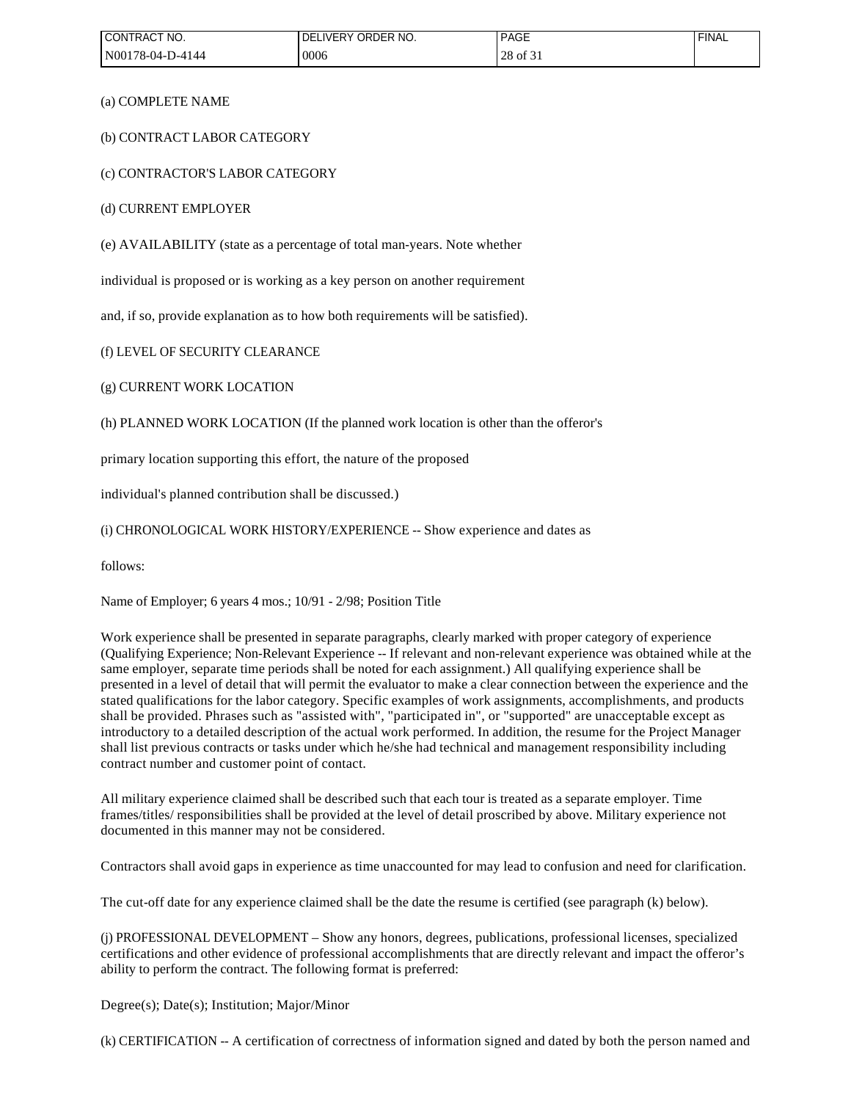| CONTRACT NO.     | ! DELIVERY ORDER NO. | <b>PAGE</b>         | <b>FINAL</b> |
|------------------|----------------------|---------------------|--------------|
| N00178-04-D-4144 | 0006                 | $\circ$ of 31<br>28 |              |

(a) COMPLETE NAME

(b) CONTRACT LABOR CATEGORY

(c) CONTRACTOR'S LABOR CATEGORY

(d) CURRENT EMPLOYER

(e) AVAILABILITY (state as a percentage of total man-years. Note whether

individual is proposed or is working as a key person on another requirement

and, if so, provide explanation as to how both requirements will be satisfied).

(f) LEVEL OF SECURITY CLEARANCE

(g) CURRENT WORK LOCATION

(h) PLANNED WORK LOCATION (If the planned work location is other than the offeror's

primary location supporting this effort, the nature of the proposed

individual's planned contribution shall be discussed.)

(i) CHRONOLOGICAL WORK HISTORY/EXPERIENCE -- Show experience and dates as

follows:

Name of Employer; 6 years 4 mos.; 10/91 - 2/98; Position Title

Work experience shall be presented in separate paragraphs, clearly marked with proper category of experience (Qualifying Experience; Non-Relevant Experience -- If relevant and non-relevant experience was obtained while at the same employer, separate time periods shall be noted for each assignment.) All qualifying experience shall be presented in a level of detail that will permit the evaluator to make a clear connection between the experience and the stated qualifications for the labor category. Specific examples of work assignments, accomplishments, and products shall be provided. Phrases such as "assisted with", "participated in", or "supported" are unacceptable except as introductory to a detailed description of the actual work performed. In addition, the resume for the Project Manager shall list previous contracts or tasks under which he/she had technical and management responsibility including contract number and customer point of contact.

All military experience claimed shall be described such that each tour is treated as a separate employer. Time frames/titles/ responsibilities shall be provided at the level of detail proscribed by above. Military experience not documented in this manner may not be considered.

Contractors shall avoid gaps in experience as time unaccounted for may lead to confusion and need for clarification.

The cut-off date for any experience claimed shall be the date the resume is certified (see paragraph (k) below).

(j) PROFESSIONAL DEVELOPMENT – Show any honors, degrees, publications, professional licenses, specialized certifications and other evidence of professional accomplishments that are directly relevant and impact the offeror's ability to perform the contract. The following format is preferred:

Degree(s); Date(s); Institution; Major/Minor

(k) CERTIFICATION -- A certification of correctness of information signed and dated by both the person named and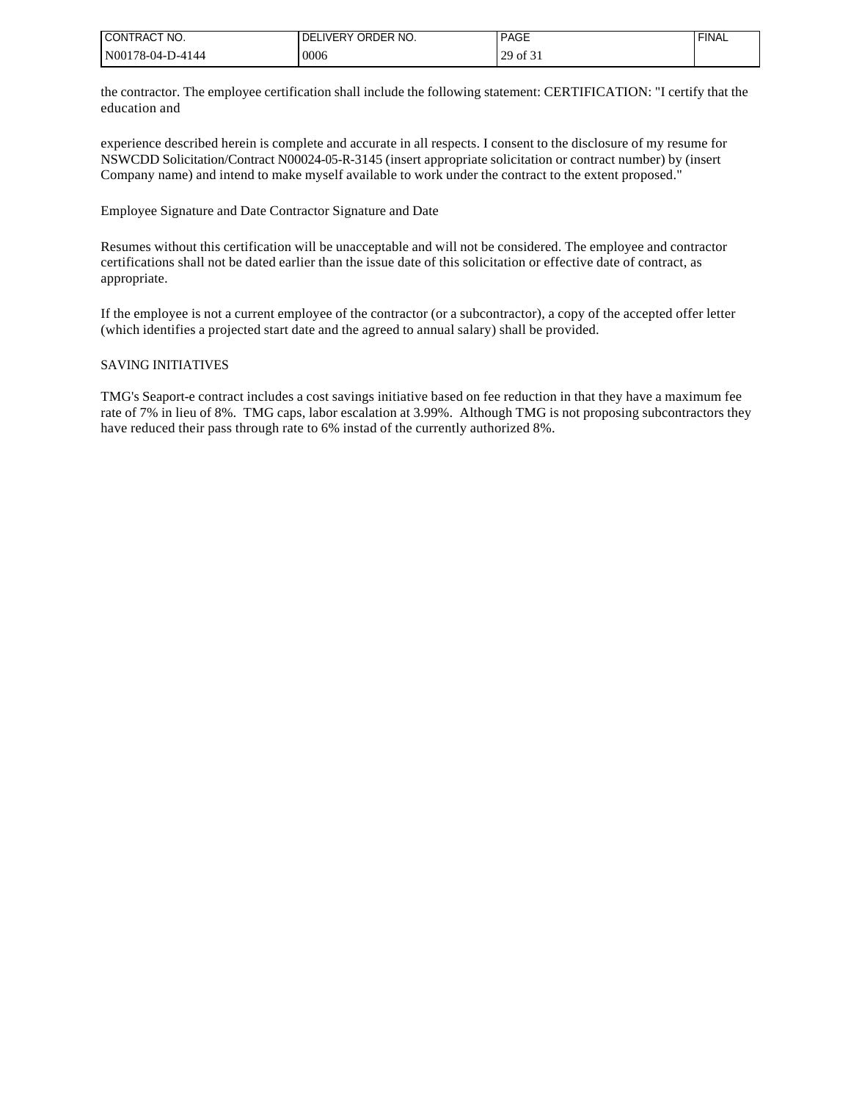| I CONTRACT NO.   | LIVERY ORDER NO.<br>DEL | <b>PAGE</b> | <b>FINAL</b> |
|------------------|-------------------------|-------------|--------------|
| N00178-04-D-4144 | 10006                   | 29 of 31    |              |

the contractor. The employee certification shall include the following statement: CERTIFICATION: "I certify that the education and

experience described herein is complete and accurate in all respects. I consent to the disclosure of my resume for NSWCDD Solicitation/Contract N00024-05-R-3145 (insert appropriate solicitation or contract number) by (insert Company name) and intend to make myself available to work under the contract to the extent proposed."

Employee Signature and Date Contractor Signature and Date

Resumes without this certification will be unacceptable and will not be considered. The employee and contractor certifications shall not be dated earlier than the issue date of this solicitation or effective date of contract, as appropriate.

If the employee is not a current employee of the contractor (or a subcontractor), a copy of the accepted offer letter (which identifies a projected start date and the agreed to annual salary) shall be provided.

#### SAVING INITIATIVES

TMG's Seaport-e contract includes a cost savings initiative based on fee reduction in that they have a maximum fee rate of 7% in lieu of 8%. TMG caps, labor escalation at 3.99%. Although TMG is not proposing subcontractors they have reduced their pass through rate to 6% instad of the currently authorized 8%.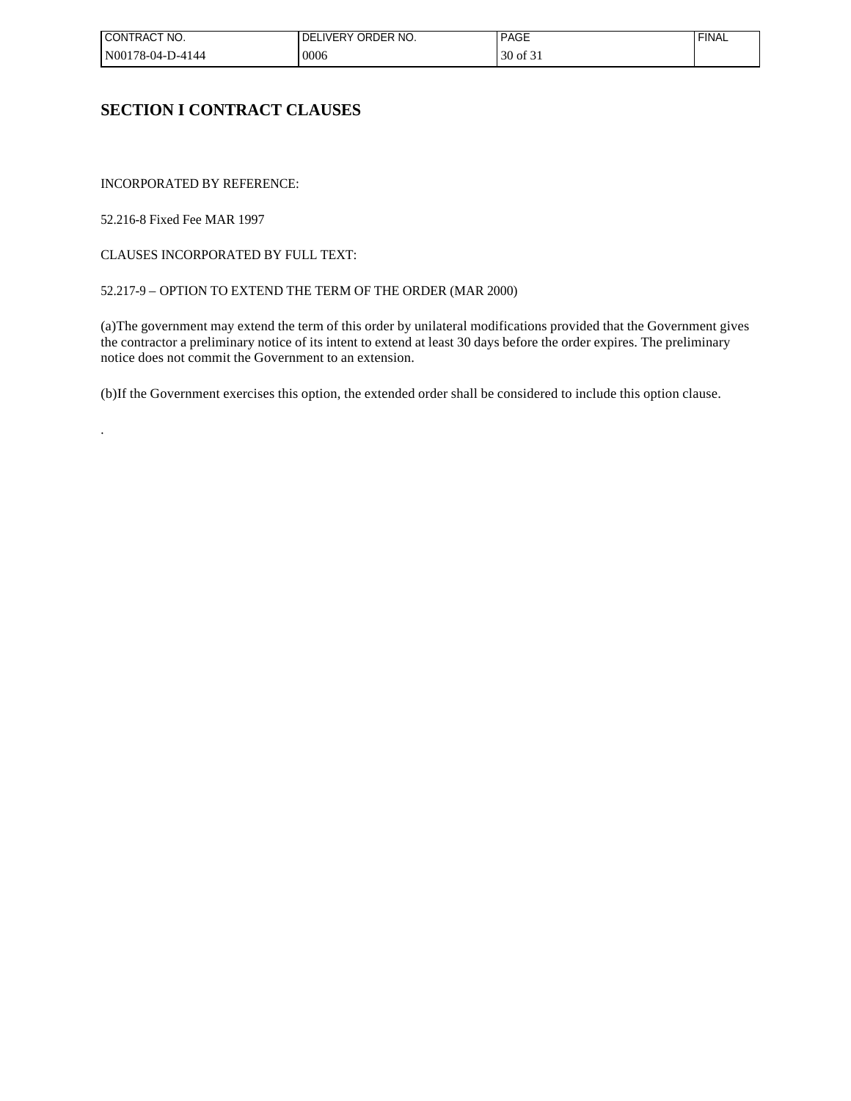| I CONTRACT NO.   | ! DELIVERY ORDER NO. | <b>PAGE</b>        | <b>FINAL</b> |
|------------------|----------------------|--------------------|--------------|
| N00178-04-D-4144 | 0006                 | $\sim$<br>30 of 31 |              |

# **SECTION I CONTRACT CLAUSES**

INCORPORATED BY REFERENCE:

52.216-8 Fixed Fee MAR 1997

.

CLAUSES INCORPORATED BY FULL TEXT:

# 52.217-9 – OPTION TO EXTEND THE TERM OF THE ORDER (MAR 2000)

(a)The government may extend the term of this order by unilateral modifications provided that the Government gives the contractor a preliminary notice of its intent to extend at least 30 days before the order expires. The preliminary notice does not commit the Government to an extension.

(b)If the Government exercises this option, the extended order shall be considered to include this option clause.